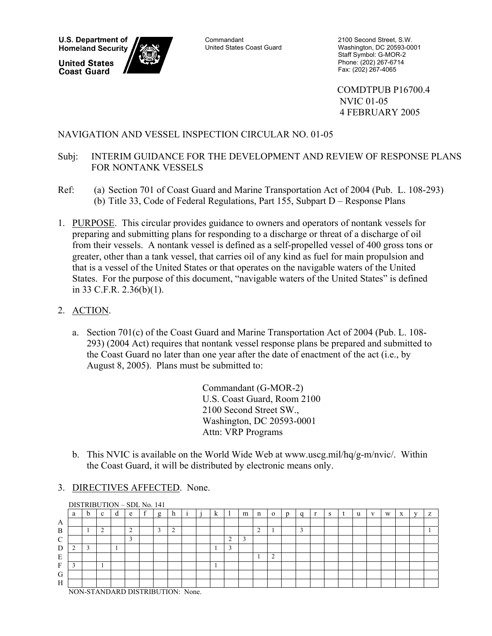**U.S. Department of Homeland Security** 

**United States Coast Guard** 



Commandant United States Coast Guard 2100 Second Street, S.W. Washington, DC 20593-0001 Staff Symbol: G-MOR-2 Phone: (202) 267-6714 Fax: (202) 267-4065

 COMDTPUB P16700.4 NVIC 01-05 4 FEBRUARY 2005

# NAVIGATION AND VESSEL INSPECTION CIRCULAR NO. 01-05

- Subj: INTERIM GUIDANCE FOR THE DEVELOPMENT AND REVIEW OF RESPONSE PLANS FOR NONTANK VESSELS
- Ref: (a) Section 701 of Coast Guard and Marine Transportation Act of 2004 (Pub. L. 108-293) (b) Title 33, Code of Federal Regulations, Part 155, Subpart D – Response Plans
- 1. PURPOSE. This circular provides guidance to owners and operators of nontank vessels for preparing and submitting plans for responding to a discharge or threat of a discharge of oil from their vessels. A nontank vessel is defined as a self-propelled vessel of 400 gross tons or greater, other than a tank vessel, that carries oil of any kind as fuel for main propulsion and that is a vessel of the United States or that operates on the navigable waters of the United States. For the purpose of this document, "navigable waters of the United States" is defined in 33 C.F.R. 2.36(b)(1).
- 2. ACTION.
	- a. Section 701(c) of the Coast Guard and Marine Transportation Act of 2004 (Pub. L. 108- 293) (2004 Act) requires that nontank vessel response plans be prepared and submitted to the Coast Guard no later than one year after the date of enactment of the act (i.e., by August 8, 2005). Plans must be submitted to:

Commandant (G-MOR-2) U.S. Coast Guard, Room 2100 2100 Second Street SW., Washington, DC 20593-0001 Attn: VRP Programs

b. This NVIC is available on the World Wide Web at www.uscg.mil/hq/g-m/nvic/. Within the Coast Guard, it will be distributed by electronic means only.

### 3. DIRECTIVES AFFECTED. None.

|                 | DISTRIBUTION - SDL No. 141        |   |              |              |        |             |  |   |                        |                     |        |                    |   |   |                   |               |    |   |   |   |   |   |   |
|-----------------|-----------------------------------|---|--------------|--------------|--------|-------------|--|---|------------------------|---------------------|--------|--------------------|---|---|-------------------|---------------|----|---|---|---|---|---|---|
|                 | a                                 | υ | $\sim$<br>c. | e            | g      | h           |  | k |                        | m                   | n      | $\mathbf{o}$       | D |   | <b>1500</b><br>-1 | $\mathcal{L}$ | ш. | u | V | W | X | v | z |
| A               |                                   |   |              |              |        |             |  |   |                        |                     |        |                    |   |   |                   |               |    |   |   |   |   |   |   |
| B               |                                   |   | ◠            | $\sim$       | ◠<br>C | $\sim$<br>∸ |  |   |                        |                     | $\sim$ |                    |   | 3 |                   |               |    |   |   |   |   |   |   |
| $\sqrt{ }$<br>◡ |                                   |   |              | $\sim$<br>-2 |        |             |  |   | $\mathbf{\hat{}}$<br>∠ | $\mathcal{L}$<br>Ľ. |        |                    |   |   |                   |               |    |   |   |   |   |   |   |
| D               | ◠                                 | 3 |              |              |        |             |  |   | 3                      |                     |        |                    |   |   |                   |               |    |   |   |   |   |   |   |
| E               |                                   |   |              |              |        |             |  |   |                        |                     |        | $\mathcal{L}$<br>∠ |   |   |                   |               |    |   |   |   |   |   |   |
| E               | $\overline{\phantom{a}}$          |   |              |              |        |             |  |   |                        |                     |        |                    |   |   |                   |               |    |   |   |   |   |   |   |
| G               |                                   |   |              |              |        |             |  |   |                        |                     |        |                    |   |   |                   |               |    |   |   |   |   |   |   |
| H               |                                   |   |              |              |        |             |  |   |                        |                     |        |                    |   |   |                   |               |    |   |   |   |   |   |   |
|                 | MOME CELLUS LBB BICEBIBI TELOMENT |   |              |              |        |             |  |   |                        |                     |        |                    |   |   |                   |               |    |   |   |   |   |   |   |

NON-STANDARD DISTRIBUTION: None.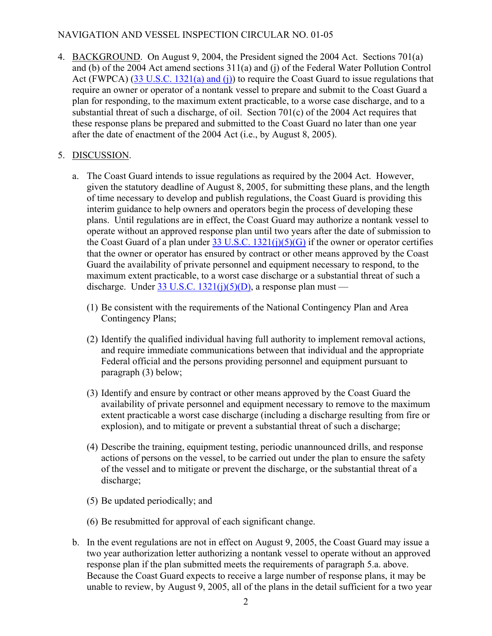### NAVIGATION AND VESSEL INSPECTION CIRCULAR NO. 01-05

4. BACKGROUND. On August 9, 2004, the President signed the 2004 Act. Sections 701(a) and (b) of the 2004 Act amend sections 311(a) and (j) of the Federal Water Pollution Control Act (FWPCA) ([33 U.S.C. 1321\(a\) and \(j\)\)](http://assembler.law.cornell.edu/uscode/html/uscode33/usc_sec_33_00001321----000-.html) to require the Coast Guard to issue regulations that require an owner or operator of a nontank vessel to prepare and submit to the Coast Guard a plan for responding, to the maximum extent practicable, to a worse case discharge, and to a substantial threat of such a discharge, of oil. Section 701(c) of the 2004 Act requires that these response plans be prepared and submitted to the Coast Guard no later than one year after the date of enactment of the 2004 Act (i.e., by August 8, 2005).

## 5. DISCUSSION.

- a. The Coast Guard intends to issue regulations as required by the 2004 Act. However, given the statutory deadline of August 8, 2005, for submitting these plans, and the length of time necessary to develop and publish regulations, the Coast Guard is providing this interim guidance to help owners and operators begin the process of developing these plans. Until regulations are in effect, the Coast Guard may authorize a nontank vessel to operate without an approved response plan until two years after the date of submission to the Coast Guard of a plan under  $33 \text{ U.S.C. } 1321(j)(5)(G)$  if the owner or operator certifies that the owner or operator has ensured by contract or other means approved by the Coast Guard the availability of private personnel and equipment necessary to respond, to the maximum extent practicable, to a worst case discharge or a substantial threat of such a discharge. Under [33 U.S.C. 1321\(j\)\(5\)\(D\)](http://assembler.law.cornell.edu/uscode/html/uscode33/usc_sec_33_00001321----000-.html), a response plan must —
	- (1) Be consistent with the requirements of the National Contingency Plan and Area Contingency Plans;
	- (2) Identify the qualified individual having full authority to implement removal actions, and require immediate communications between that individual and the appropriate Federal official and the persons providing personnel and equipment pursuant to paragraph (3) below;
	- (3) Identify and ensure by contract or other means approved by the Coast Guard the availability of private personnel and equipment necessary to remove to the maximum extent practicable a worst case discharge (including a discharge resulting from fire or explosion), and to mitigate or prevent a substantial threat of such a discharge;
	- (4) Describe the training, equipment testing, periodic unannounced drills, and response actions of persons on the vessel, to be carried out under the plan to ensure the safety of the vessel and to mitigate or prevent the discharge, or the substantial threat of a discharge;
	- (5) Be updated periodically; and
	- (6) Be resubmitted for approval of each significant change.
- b. In the event regulations are not in effect on August 9, 2005, the Coast Guard may issue a two year authorization letter authorizing a nontank vessel to operate without an approved response plan if the plan submitted meets the requirements of paragraph 5.a. above. Because the Coast Guard expects to receive a large number of response plans, it may be unable to review, by August 9, 2005, all of the plans in the detail sufficient for a two year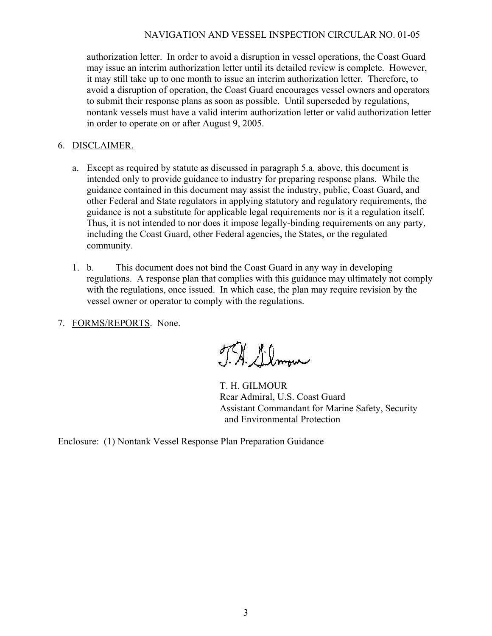### NAVIGATION AND VESSEL INSPECTION CIRCULAR NO. 01-05

authorization letter. In order to avoid a disruption in vessel operations, the Coast Guard may issue an interim authorization letter until its detailed review is complete. However, it may still take up to one month to issue an interim authorization letter. Therefore, to avoid a disruption of operation, the Coast Guard encourages vessel owners and operators to submit their response plans as soon as possible. Until superseded by regulations, nontank vessels must have a valid interim authorization letter or valid authorization letter in order to operate on or after August 9, 2005.

#### 6. DISCLAIMER.

- a. Except as required by statute as discussed in paragraph 5.a. above, this document is intended only to provide guidance to industry for preparing response plans. While the guidance contained in this document may assist the industry, public, Coast Guard, and other Federal and State regulators in applying statutory and regulatory requirements, the guidance is not a substitute for applicable legal requirements nor is it a regulation itself. Thus, it is not intended to nor does it impose legally-binding requirements on any party, including the Coast Guard, other Federal agencies, the States, or the regulated community.
- 1. b. This document does not bind the Coast Guard in any way in developing regulations. A response plan that complies with this guidance may ultimately not comply with the regulations, once issued. In which case, the plan may require revision by the vessel owner or operator to comply with the regulations.
- 7. FORMS/REPORTS. None.

J.A. Lilmour

T. H. GILMOUR Rear Admiral, U.S. Coast Guard Assistant Commandant for Marine Safety, Security and Environmental Protection

Enclosure: (1) Nontank Vessel Response Plan Preparation Guidance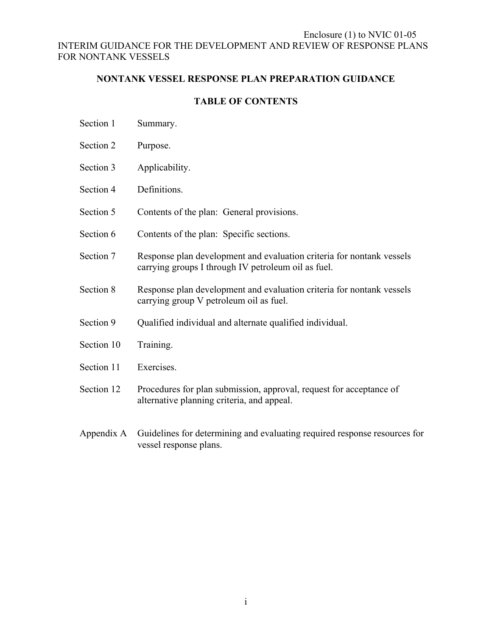#### **NONTANK VESSEL RESPONSE PLAN PREPARATION GUIDANCE**

#### **TABLE OF CONTENTS**

- Section 1 Summary.
- Section 2 Purpose.
- Section 3 Applicability.
- Section 4 Definitions.
- Section 5 Contents of the plan: General provisions.
- Section 6 Contents of the plan: Specific sections.
- Section 7 Response plan development and evaluation criteria for nontank vessels carrying groups I through IV petroleum oil as fuel.
- Section 8 Response plan development and evaluation criteria for nontank vessels carrying group V petroleum oil as fuel.
- Section 9 Qualified individual and alternate qualified individual.
- Section 10 Training.
- Section 11 Exercises.
- Section 12 Procedures for plan submission, approval, request for acceptance of alternative planning criteria, and appeal.
- Appendix A Guidelines for determining and evaluating required response resources for vessel response plans.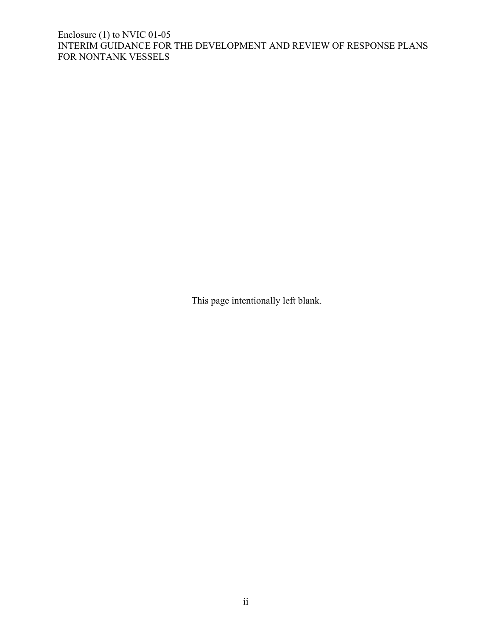This page intentionally left blank.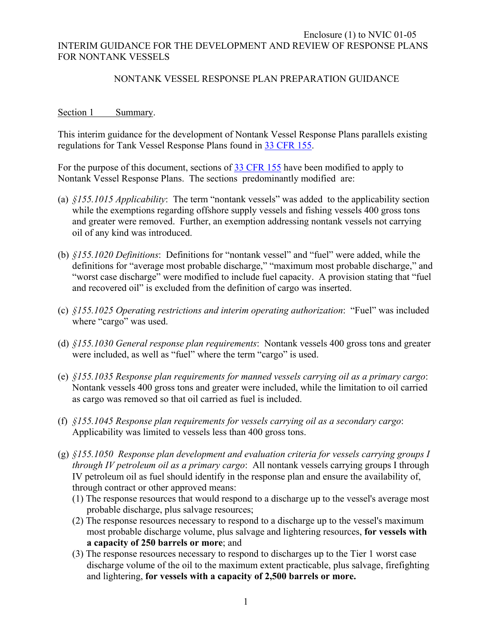#### NONTANK VESSEL RESPONSE PLAN PREPARATION GUIDANCE

#### Section 1 Summary.

This interim guidance for the development of Nontank Vessel Response Plans parallels existing regulations for Tank Vessel Response Plans found in [33 CFR 155](http://www.access.gpo.gov/nara/cfr/waisidx_04/33cfr155_04.html).

For the purpose of this document, sections of  $\frac{33 \text{ CFR}}{155 \text{ have been modified to apply to}}$ Nontank Vessel Response Plans. The sections predominantly modified are:

- (a) *§155.1015 Applicability*: The term "nontank vessels" was added to the applicability section while the exemptions regarding offshore supply vessels and fishing vessels 400 gross tons and greater were removed. Further, an exemption addressing nontank vessels not carrying oil of any kind was introduced.
- (b) *§155.1020 Definitions*: Definitions for "nontank vessel" and "fuel" were added, while the definitions for "average most probable discharge," "maximum most probable discharge," and "worst case discharge" were modified to include fuel capacity. A provision stating that "fuel and recovered oil" is excluded from the definition of cargo was inserted.
- (c) *§155.1025 Operatin*g *restrictions and interim operating authorization*: "Fuel" was included where "cargo" was used.
- (d) *§155.1030 General response plan requirements*: Nontank vessels 400 gross tons and greater were included, as well as "fuel" where the term "cargo" is used.
- (e) *§155.1035 Response plan requirements for manned vessels carrying oil as a primary cargo*: Nontank vessels 400 gross tons and greater were included, while the limitation to oil carried as cargo was removed so that oil carried as fuel is included.
- (f) *§155.1045 Response plan requirements for vessels carrying oil as a secondary cargo*: Applicability was limited to vessels less than 400 gross tons.
- (g) *§155.1050 Response plan development and evaluation criteria for vessels carrying groups I through IV petroleum oil as a primary cargo*: All nontank vessels carrying groups I through IV petroleum oil as fuel should identify in the response plan and ensure the availability of, through contract or other approved means:
	- (1) The response resources that would respond to a discharge up to the vessel's average most probable discharge, plus salvage resources;
	- (2) The response resources necessary to respond to a discharge up to the vessel's maximum most probable discharge volume, plus salvage and lightering resources, **for vessels with a capacity of 250 barrels or more**; and
	- (3) The response resources necessary to respond to discharges up to the Tier 1 worst case discharge volume of the oil to the maximum extent practicable, plus salvage, firefighting and lightering, **for vessels with a capacity of 2,500 barrels or more.**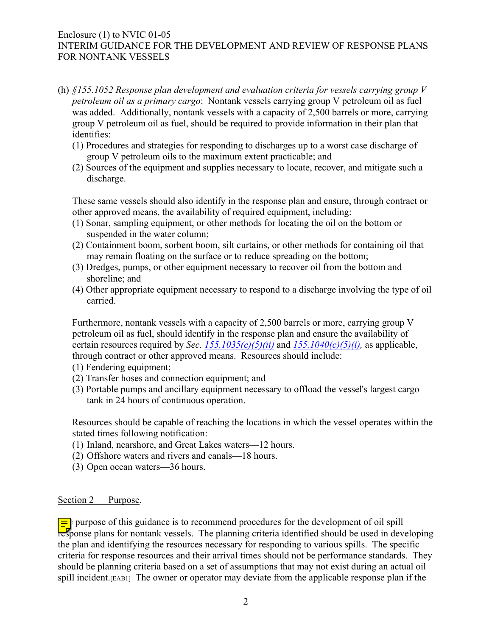- (h) *§155.1052 Response plan development and evaluation criteria for vessels carrying group V petroleum oil as a primary cargo*: Nontank vessels carrying group V petroleum oil as fuel was added. Additionally, nontank vessels with a capacity of 2,500 barrels or more, carrying group V petroleum oil as fuel, should be required to provide information in their plan that identifies:
	- (1) Procedures and strategies for responding to discharges up to a worst case discharge of group V petroleum oils to the maximum extent practicable; and
	- (2) Sources of the equipment and supplies necessary to locate, recover, and mitigate such a discharge.

These same vessels should also identify in the response plan and ensure, through contract or other approved means, the availability of required equipment, including:

- (1) Sonar, sampling equipment, or other methods for locating the oil on the bottom or suspended in the water column;
- (2) Containment boom, sorbent boom, silt curtains, or other methods for containing oil that may remain floating on the surface or to reduce spreading on the bottom;
- (3) Dredges, pumps, or other equipment necessary to recover oil from the bottom and shoreline; and
- (4) Other appropriate equipment necessary to respond to a discharge involving the type of oil carried.

Furthermore, nontank vessels with a capacity of 2,500 barrels or more, carrying group V petroleum oil as fuel, should identify in the response plan and ensure the availability of certain resources required by *Sec.*  $155.1035(c)(5)(ii)$  and  $155.1040(c)(5)(i)$ , as applicable, through contract or other approved means. Resources should include:

- (1) Fendering equipment;
- (2) Transfer hoses and connection equipment; and
- (3) Portable pumps and ancillary equipment necessary to offload the vessel's largest cargo tank in 24 hours of continuous operation.

Resources should be capable of reaching the locations in which the vessel operates within the stated times following notification:

- (1) Inland, nearshore, and Great Lakes waters—12 hours.
- (2) Offshore waters and rivers and canals—18 hours.
- (3) Open ocean waters—36 hours.

#### Section 2 Purpose.

 $\boxed{\equiv}$  purpose of this guidance is to recommend procedures for the development of oil spill **response plans for nontank vessels.** The planning criteria identified should be used in developing the plan and identifying the resources necessary for responding to various spills. The specific criteria for response resources and their arrival times should not be performance standards. They should be planning criteria based on a set of assumptions that may not exist during an actual oil spill incident.[EAB1] The owner or operator may deviate from the applicable response plan if the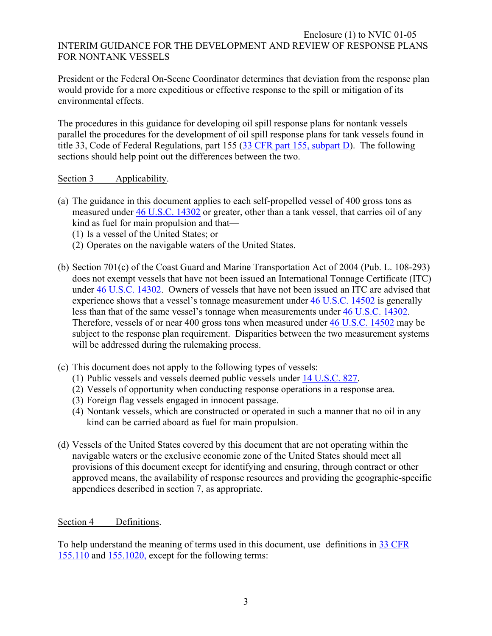President or the Federal On-Scene Coordinator determines that deviation from the response plan would provide for a more expeditious or effective response to the spill or mitigation of its environmental effects.

The procedures in this guidance for developing oil spill response plans for nontank vessels parallel the procedures for the development of oil spill response plans for tank vessels found in title 33, Code of Federal Regulations, part 155 ([33 CFR part 155, subpart D](http://frwebgate5.access.gpo.gov/cgi-bin/waisgate.cgi?WAISdocID=544683132246+5+0+0&WAISaction=retrieve)). The following sections should help point out the differences between the two.

### Section 3 Applicability.

- (a) The guidance in this document applies to each self-propelled vessel of 400 gross tons as measured under [46 U.S.C. 14302](http://assembler.law.cornell.edu/uscode/html/uscode46/usc_sec_46_00014302----000-.html) or greater, other than a tank vessel, that carries oil of any kind as fuel for main propulsion and that—
	- (1) Is a vessel of the United States; or
	- (2) Operates on the navigable waters of the United States.
- (b) Section 701(c) of the Coast Guard and Marine Transportation Act of 2004 (Pub. L. 108-293) does not exempt vessels that have not been issued an International Tonnage Certificate (ITC) under [46 U.S.C. 14302.](http://assembler.law.cornell.edu/uscode/html/uscode46/usc_sec_46_00014302----000-.html) Owners of vessels that have not been issued an ITC are advised that experience shows that a vessel's tonnage measurement under [46 U.S.C. 14502](http://assembler.law.cornell.edu/uscode/html/uscode46/usc_sec_46_00014502----000-.html) is generally less than that of the same vessel's tonnage when measurements under [46 U.S.C. 14302](http://assembler.law.cornell.edu/uscode/html/uscode46/usc_sec_46_00014302----000-.html). Therefore, vessels of or near 400 gross tons when measured under [46 U.S.C. 14502](http://assembler.law.cornell.edu/uscode/html/uscode46/usc_sec_46_00014502----000-.html) may be subject to the response plan requirement. Disparities between the two measurement systems will be addressed during the rulemaking process.
- (c) This document does not apply to the following types of vessels:
	- (1) Public vessels and vessels deemed public vessels under [14 U.S.C. 827.](http://assembler.law.cornell.edu/uscode/html/uscode14/usc_sec_14_00000827----000-.html)
	- (2) Vessels of opportunity when conducting response operations in a response area.
	- (3) Foreign flag vessels engaged in innocent passage.
	- (4) Nontank vessels, which are constructed or operated in such a manner that no oil in any kind can be carried aboard as fuel for main propulsion.
- (d) Vessels of the United States covered by this document that are not operating within the navigable waters or the exclusive economic zone of the United States should meet all provisions of this document except for identifying and ensuring, through contract or other approved means, the availability of response resources and providing the geographic-specific appendices described in section 7, as appropriate.

Section 4 Definitions.

To help understand the meaning of terms used in this document, use definitions in [33 CFR](http://a257.g.akamaitech.net/7/257/2422/04nov20031500/edocket.access.gpo.gov/cfr_2003/julqtr/33cfr155.110.htm)  [155.110](http://a257.g.akamaitech.net/7/257/2422/04nov20031500/edocket.access.gpo.gov/cfr_2003/julqtr/33cfr155.110.htm) and [155.1020](http://a257.g.akamaitech.net/7/257/2422/04nov20031500/edocket.access.gpo.gov/cfr_2003/julqtr/33cfr155.1020.htm), except for the following terms: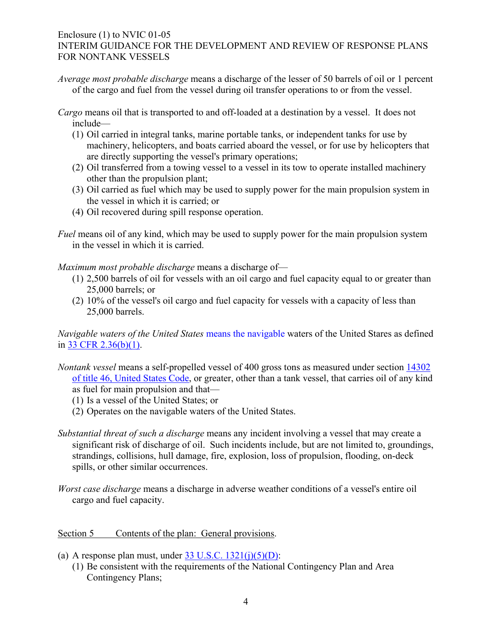*Average most probable discharge* means a discharge of the lesser of 50 barrels of oil or 1 percent of the cargo and fuel from the vessel during oil transfer operations to or from the vessel.

*Cargo* means oil that is transported to and off-loaded at a destination by a vessel. It does not include—

- (1) Oil carried in integral tanks, marine portable tanks, or independent tanks for use by machinery, helicopters, and boats carried aboard the vessel, or for use by helicopters that are directly supporting the vessel's primary operations;
- (2) Oil transferred from a towing vessel to a vessel in its tow to operate installed machinery other than the propulsion plant;
- (3) Oil carried as fuel which may be used to supply power for the main propulsion system in the vessel in which it is carried; or
- (4) Oil recovered during spill response operation.

*Fuel* means oil of any kind, which may be used to supply power for the main propulsion system in the vessel in which it is carried.

*Maximum most probable discharge* means a discharge of—

- (1) 2,500 barrels of oil for vessels with an oil cargo and fuel capacity equal to or greater than 25,000 barrels; or
- (2) 10% of the vessel's oil cargo and fuel capacity for vessels with a capacity of less than 25,000 barrels.

*Navigable waters of the United States* means the navigable waters of the United Stares as defined in [33 CFR 2.36\(b\)\(1\)](http://a257.g.akamaitech.net/7/257/2422/12feb20041500/edocket.access.gpo.gov/cfr_2004/julqtr/33cfr2.36.htm).

- *Nontank vessel* means a self-propelled vessel of 400 gross tons as measured under section [14302](http://assembler.law.cornell.edu/uscode/html/uscode46/usc_sec_46_00014302----000-.html)  [of title 46, United States Code](http://assembler.law.cornell.edu/uscode/html/uscode46/usc_sec_46_00014302----000-.html), or greater, other than a tank vessel, that carries oil of any kind as fuel for main propulsion and that—
	- (1) Is a vessel of the United States; or
	- (2) Operates on the navigable waters of the United States.
- *Substantial threat of such a discharge* means any incident involving a vessel that may create a significant risk of discharge of oil. Such incidents include, but are not limited to, groundings, strandings, collisions, hull damage, fire, explosion, loss of propulsion, flooding, on-deck spills, or other similar occurrences.
- *Worst case discharge* means a discharge in adverse weather conditions of a vessel's entire oil cargo and fuel capacity.

#### Section 5 Contents of the plan: General provisions.

- (a) A response plan must, under  $33 \text{ U.S.C. } 1321(j)(5)(D)$ :
	- (1) Be consistent with the requirements of the National Contingency Plan and Area Contingency Plans;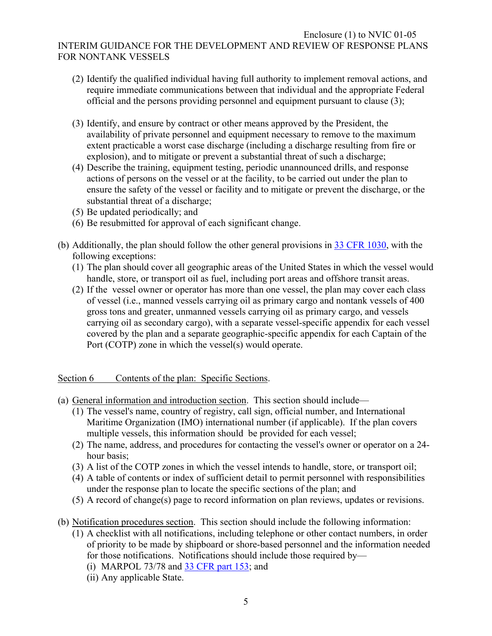## Enclosure (1) to NVIC 01-05

### INTERIM GUIDANCE FOR THE DEVELOPMENT AND REVIEW OF RESPONSE PLANS FOR NONTANK VESSELS

- (2) Identify the qualified individual having full authority to implement removal actions, and require immediate communications between that individual and the appropriate Federal official and the persons providing personnel and equipment pursuant to clause (3);
- (3) Identify, and ensure by contract or other means approved by the President, the availability of private personnel and equipment necessary to remove to the maximum extent practicable a worst case discharge (including a discharge resulting from fire or explosion), and to mitigate or prevent a substantial threat of such a discharge;
- (4) Describe the training, equipment testing, periodic unannounced drills, and response actions of persons on the vessel or at the facility, to be carried out under the plan to ensure the safety of the vessel or facility and to mitigate or prevent the discharge, or the substantial threat of a discharge;
- (5) Be updated periodically; and
- (6) Be resubmitted for approval of each significant change.
- (b) Additionally, the plan should follow the other general provisions in [33 CFR 1030,](http://a257.g.akamaitech.net/7/257/2422/04nov20031500/edocket.access.gpo.gov/cfr_2003/julqtr/pdf/33cfr155.1030.pdf) with the following exceptions:
	- (1) The plan should cover all geographic areas of the United States in which the vessel would handle, store, or transport oil as fuel, including port areas and offshore transit areas.
	- (2) If the vessel owner or operator has more than one vessel, the plan may cover each class of vessel (i.e., manned vessels carrying oil as primary cargo and nontank vessels of 400 gross tons and greater, unmanned vessels carrying oil as primary cargo, and vessels carrying oil as secondary cargo), with a separate vessel-specific appendix for each vessel covered by the plan and a separate geographic-specific appendix for each Captain of the Port (COTP) zone in which the vessel(s) would operate.

### Section 6 Contents of the plan: Specific Sections.

- (a) General information and introduction section. This section should include—
	- (1) The vessel's name, country of registry, call sign, official number, and International Maritime Organization (IMO) international number (if applicable). If the plan covers multiple vessels, this information should be provided for each vessel;
	- (2) The name, address, and procedures for contacting the vessel's owner or operator on a 24 hour basis;
	- (3) A list of the COTP zones in which the vessel intends to handle, store, or transport oil;
	- (4) A table of contents or index of sufficient detail to permit personnel with responsibilities under the response plan to locate the specific sections of the plan; and
	- (5) A record of change(s) page to record information on plan reviews, updates or revisions.
- (b) Notification procedures section. This section should include the following information:
	- (1) A checklist with all notifications, including telephone or other contact numbers, in order of priority to be made by shipboard or shore-based personnel and the information needed for those notifications. Notifications should include those required by—
		- (i) MARPOL 73/78 and [33 CFR part 153;](http://www.access.gpo.gov/nara/cfr/waisidx_03/33cfr153_03.html) and
		- (ii) Any applicable State.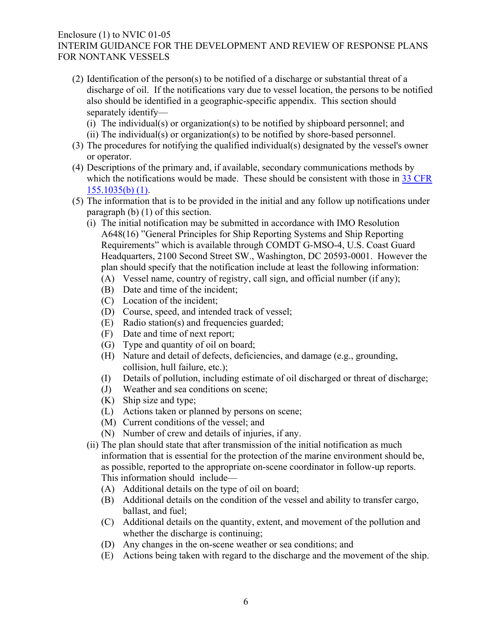- (2) Identification of the person(s) to be notified of a discharge or substantial threat of a discharge of oil. If the notifications vary due to vessel location, the persons to be notified also should be identified in a geographic-specific appendix. This section should separately identify—
	- (i) The individual(s) or organization(s) to be notified by shipboard personnel; and
	- (ii) The individual(s) or organization(s) to be notified by shore-based personnel.
- (3) The procedures for notifying the qualified individual(s) designated by the vessel's owner or operator.
- (4) Descriptions of the primary and, if available, secondary communications methods by which the notifications would be made. These should be consistent with those in 33 CFR [155.1035\(b\) \(1\)](http://a257.g.akamaitech.net/7/257/2422/04nov20031500/edocket.access.gpo.gov/cfr_2003/julqtr/pdf/33cfr155.1035.pdf).
- (5) The information that is to be provided in the initial and any follow up notifications under paragraph (b) (1) of this section.
	- (i) The initial notification may be submitted in accordance with IMO Resolution A648(16) "General Principles for Ship Reporting Systems and Ship Reporting Requirements" which is available through COMDT G-MSO-4, U.S. Coast Guard Headquarters, 2100 Second Street SW., Washington, DC 20593-0001. However the plan should specify that the notification include at least the following information:
		- (A) Vessel name, country of registry, call sign, and official number (if any);
		- (B) Date and time of the incident;
		- (C) Location of the incident;
		- (D) Course, speed, and intended track of vessel;
		- (E) Radio station(s) and frequencies guarded;
		- (F) Date and time of next report;
		- (G) Type and quantity of oil on board;
		- (H) Nature and detail of defects, deficiencies, and damage (e.g., grounding, collision, hull failure, etc.);
		- (I) Details of pollution, including estimate of oil discharged or threat of discharge;
		- (J) Weather and sea conditions on scene;
		- (K) Ship size and type;
		- (L) Actions taken or planned by persons on scene;
		- (M) Current conditions of the vessel; and
		- (N) Number of crew and details of injuries, if any.
	- (ii) The plan should state that after transmission of the initial notification as much information that is essential for the protection of the marine environment should be, as possible, reported to the appropriate on-scene coordinator in follow-up reports. This information should include—
		- (A) Additional details on the type of oil on board;
		- (B) Additional details on the condition of the vessel and ability to transfer cargo, ballast, and fuel;
		- (C) Additional details on the quantity, extent, and movement of the pollution and whether the discharge is continuing;
		- (D) Any changes in the on-scene weather or sea conditions; and
		- (E) Actions being taken with regard to the discharge and the movement of the ship.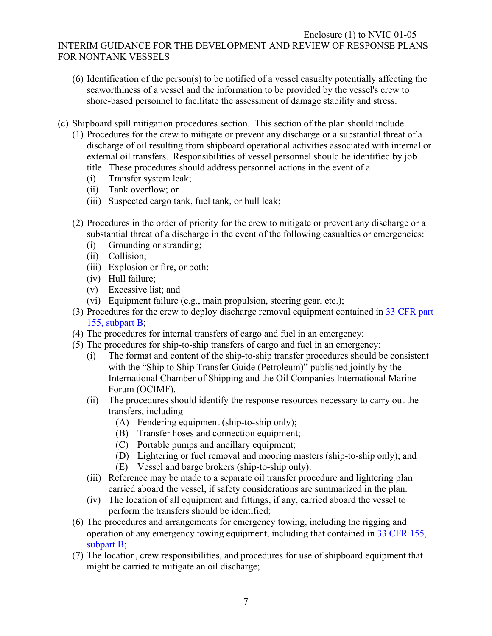INTERIM GUIDANCE FOR THE DEVELOPMENT AND REVIEW OF RESPONSE PLANS FOR NONTANK VESSELS

- (6) Identification of the person(s) to be notified of a vessel casualty potentially affecting the seaworthiness of a vessel and the information to be provided by the vessel's crew to shore-based personnel to facilitate the assessment of damage stability and stress.
- (c) Shipboard spill mitigation procedures section. This section of the plan should include—
	- (1) Procedures for the crew to mitigate or prevent any discharge or a substantial threat of a discharge of oil resulting from shipboard operational activities associated with internal or external oil transfers. Responsibilities of vessel personnel should be identified by job title. These procedures should address personnel actions in the event of a—
		- (i) Transfer system leak;
		- (ii) Tank overflow; or
		- (iii) Suspected cargo tank, fuel tank, or hull leak;
	- (2) Procedures in the order of priority for the crew to mitigate or prevent any discharge or a substantial threat of a discharge in the event of the following casualties or emergencies:
		- (i) Grounding or stranding;
		- (ii) Collision;
		- (iii) Explosion or fire, or both;
		- (iv) Hull failure;
		- (v) Excessive list; and
		- (vi) Equipment failure (e.g., main propulsion, steering gear, etc.);
	- (3) Procedures for the crew to deploy discharge removal equipment contained in [33 CFR part](http://frwebgate3.access.gpo.gov/cgi-bin/waisgate.cgi?WAISdocID=546543827+4+0+0&WAISaction=retrieve)  [155, subpart B](http://frwebgate3.access.gpo.gov/cgi-bin/waisgate.cgi?WAISdocID=546543827+4+0+0&WAISaction=retrieve);
	- (4) The procedures for internal transfers of cargo and fuel in an emergency;
	- (5) The procedures for ship-to-ship transfers of cargo and fuel in an emergency:
		- (i) The format and content of the ship-to-ship transfer procedures should be consistent with the "Ship to Ship Transfer Guide (Petroleum)" published jointly by the International Chamber of Shipping and the Oil Companies International Marine Forum (OCIMF).
		- (ii) The procedures should identify the response resources necessary to carry out the transfers, including—
			- (A) Fendering equipment (ship-to-ship only);
			- (B) Transfer hoses and connection equipment;
			- (C) Portable pumps and ancillary equipment;
			- (D) Lightering or fuel removal and mooring masters (ship-to-ship only); and
			- (E) Vessel and barge brokers (ship-to-ship only).
		- (iii) Reference may be made to a separate oil transfer procedure and lightering plan carried aboard the vessel, if safety considerations are summarized in the plan.
		- (iv) The location of all equipment and fittings, if any, carried aboard the vessel to perform the transfers should be identified;
	- (6) The procedures and arrangements for emergency towing, including the rigging and operation of any emergency towing equipment, including that contained in [33 CFR 155,](http://frwebgate3.access.gpo.gov/cgi-bin/waisgate.cgi?WAISdocID=546543827+4+0+0&WAISaction=retrieve)  [subpart B](http://frwebgate3.access.gpo.gov/cgi-bin/waisgate.cgi?WAISdocID=546543827+4+0+0&WAISaction=retrieve);
	- (7) The location, crew responsibilities, and procedures for use of shipboard equipment that might be carried to mitigate an oil discharge;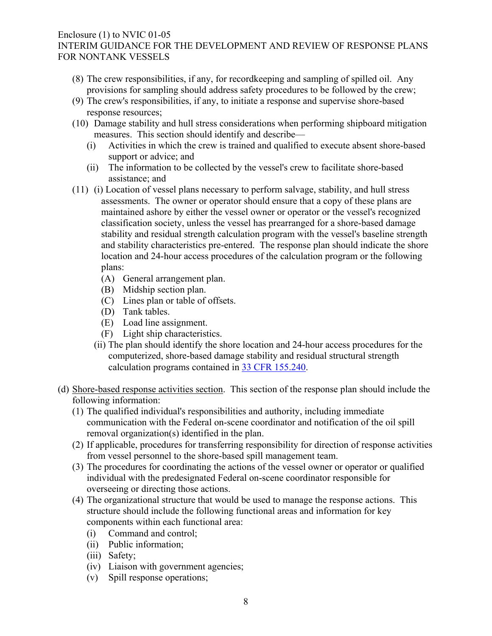- (8) The crew responsibilities, if any, for recordkeeping and sampling of spilled oil. Any provisions for sampling should address safety procedures to be followed by the crew;
- (9) The crew's responsibilities, if any, to initiate a response and supervise shore-based response resources;
- (10) Damage stability and hull stress considerations when performing shipboard mitigation measures. This section should identify and describe—
	- (i) Activities in which the crew is trained and qualified to execute absent shore-based support or advice; and
	- (ii) The information to be collected by the vessel's crew to facilitate shore-based assistance; and
- (11) (i) Location of vessel plans necessary to perform salvage, stability, and hull stress assessments. The owner or operator should ensure that a copy of these plans are maintained ashore by either the vessel owner or operator or the vessel's recognized classification society, unless the vessel has prearranged for a shore-based damage stability and residual strength calculation program with the vessel's baseline strength and stability characteristics pre-entered. The response plan should indicate the shore location and 24-hour access procedures of the calculation program or the following plans:
	- (A) General arrangement plan.
	- (B) Midship section plan.
	- (C) Lines plan or table of offsets.
	- (D) Tank tables.
	- (E) Load line assignment.
	- (F) Light ship characteristics.
	- (ii) The plan should identify the shore location and 24-hour access procedures for the computerized, shore-based damage stability and residual structural strength calculation programs contained in [33 CFR 155.240.](http://a257.g.akamaitech.net/7/257/2422/04nov20031500/edocket.access.gpo.gov/cfr_2003/julqtr/pdf/33cfr155.240.pdf)
- (d) Shore-based response activities section. This section of the response plan should include the following information:
	- (1) The qualified individual's responsibilities and authority, including immediate communication with the Federal on-scene coordinator and notification of the oil spill removal organization(s) identified in the plan.
	- (2) If applicable, procedures for transferring responsibility for direction of response activities from vessel personnel to the shore-based spill management team.
	- (3) The procedures for coordinating the actions of the vessel owner or operator or qualified individual with the predesignated Federal on-scene coordinator responsible for overseeing or directing those actions.
	- (4) The organizational structure that would be used to manage the response actions. This structure should include the following functional areas and information for key components within each functional area:
		- (i) Command and control;
		- (ii) Public information;
		- (iii) Safety;
		- (iv) Liaison with government agencies;
		- (v) Spill response operations;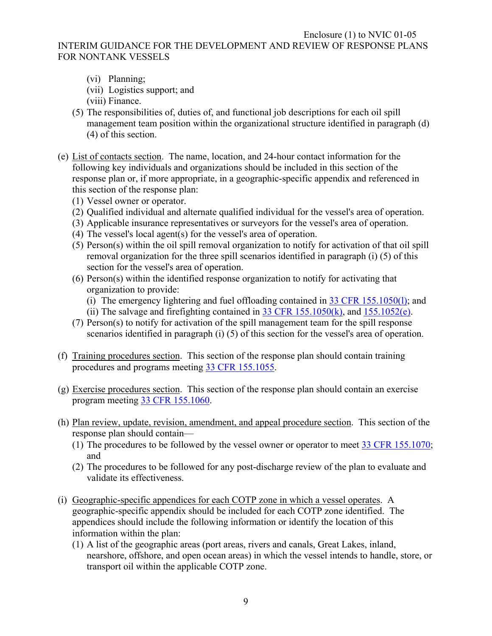INTERIM GUIDANCE FOR THE DEVELOPMENT AND REVIEW OF RESPONSE PLANS FOR NONTANK VESSELS

- (vi) Planning;
- (vii) Logistics support; and
- (viii) Finance.
- (5) The responsibilities of, duties of, and functional job descriptions for each oil spill management team position within the organizational structure identified in paragraph (d) (4) of this section.
- (e) List of contacts section. The name, location, and 24-hour contact information for the following key individuals and organizations should be included in this section of the response plan or, if more appropriate, in a geographic-specific appendix and referenced in this section of the response plan:
	- (1) Vessel owner or operator.
	- (2) Qualified individual and alternate qualified individual for the vessel's area of operation.
	- (3) Applicable insurance representatives or surveyors for the vessel's area of operation.
	- (4) The vessel's local agent(s) for the vessel's area of operation.
	- (5) Person(s) within the oil spill removal organization to notify for activation of that oil spill removal organization for the three spill scenarios identified in paragraph (i) (5) of this section for the vessel's area of operation.
	- (6) Person(s) within the identified response organization to notify for activating that organization to provide:
		- (i) The emergency lightering and fuel offloading contained in [33 CFR 155.1050\(l\);](http://a257.g.akamaitech.net/7/257/2422/04nov20031500/edocket.access.gpo.gov/cfr_2003/julqtr/pdf/33cfr155.1050.pdf) and
		- (ii) The salvage and firefighting contained in [33 CFR 155.1050\(k\)](http://a257.g.akamaitech.net/7/257/2422/04nov20031500/edocket.access.gpo.gov/cfr_2003/julqtr/pdf/33cfr155.1050.pdf), and [155.1052\(e\)](http://a257.g.akamaitech.net/7/257/2422/04nov20031500/edocket.access.gpo.gov/cfr_2003/julqtr/pdf/33cfr155.1052.pdf).
	- (7) Person(s) to notify for activation of the spill management team for the spill response scenarios identified in paragraph (i) (5) of this section for the vessel's area of operation.
- (f) Training procedures section. This section of the response plan should contain training procedures and programs meeting [33 CFR 155.1055.](http://a257.g.akamaitech.net/7/257/2422/04nov20031500/edocket.access.gpo.gov/cfr_2003/julqtr/pdf/33cfr155.1055.pdf)
- (g) Exercise procedures section. This section of the response plan should contain an exercise program meeting [33 CFR 155.1060.](http://a257.g.akamaitech.net/7/257/2422/04nov20031500/edocket.access.gpo.gov/cfr_2003/julqtr/pdf/33cfr155.1060.pdf)
- (h) Plan review, update, revision, amendment, and appeal procedure section. This section of the response plan should contain—
	- (1) The procedures to be followed by the vessel owner or operator to meet [33 CFR 155.1070;](http://a257.g.akamaitech.net/7/257/2422/04nov20031500/edocket.access.gpo.gov/cfr_2003/julqtr/pdf/33cfr155.1070.pdf) and
	- (2) The procedures to be followed for any post-discharge review of the plan to evaluate and validate its effectiveness.
- (i) Geographic-specific appendices for each COTP zone in which a vessel operates. A geographic-specific appendix should be included for each COTP zone identified. The appendices should include the following information or identify the location of this information within the plan:
	- (1) A list of the geographic areas (port areas, rivers and canals, Great Lakes, inland, nearshore, offshore, and open ocean areas) in which the vessel intends to handle, store, or transport oil within the applicable COTP zone.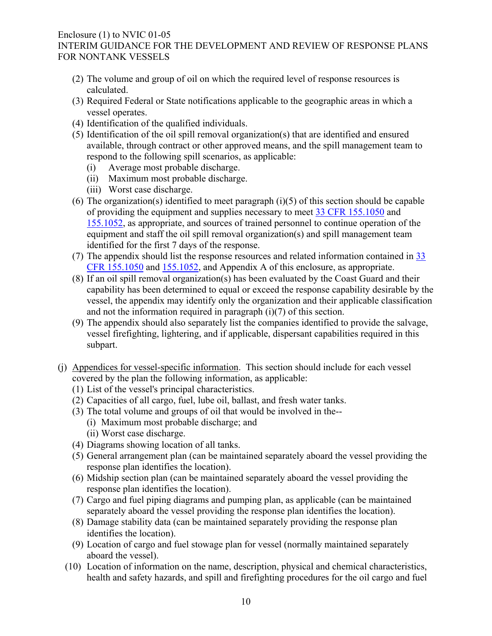- (2) The volume and group of oil on which the required level of response resources is calculated.
- (3) Required Federal or State notifications applicable to the geographic areas in which a vessel operates.
- (4) Identification of the qualified individuals.
- (5) Identification of the oil spill removal organization(s) that are identified and ensured available, through contract or other approved means, and the spill management team to respond to the following spill scenarios, as applicable:
	- (i) Average most probable discharge.
	- (ii) Maximum most probable discharge.
	- (iii) Worst case discharge.
- (6) The organization(s) identified to meet paragraph (i)(5) of this section should be capable of providing the equipment and supplies necessary to meet [33 CFR 155.1050](http://a257.g.akamaitech.net/7/257/2422/04nov20031500/edocket.access.gpo.gov/cfr_2003/julqtr/pdf/33cfr155.1050.pdf) and [155.1052](http://a257.g.akamaitech.net/7/257/2422/04nov20031500/edocket.access.gpo.gov/cfr_2003/julqtr/pdf/33cfr155.1052.pdf), as appropriate, and sources of trained personnel to continue operation of the equipment and staff the oil spill removal organization(s) and spill management team identified for the first 7 days of the response.
- (7) The appendix should list the response resources and related information contained in [33](http://a257.g.akamaitech.net/7/257/2422/04nov20031500/edocket.access.gpo.gov/cfr_2003/julqtr/pdf/33cfr155.1050.pdf)  [CFR 155.1050](http://a257.g.akamaitech.net/7/257/2422/04nov20031500/edocket.access.gpo.gov/cfr_2003/julqtr/pdf/33cfr155.1050.pdf) and [155.1052](http://a257.g.akamaitech.net/7/257/2422/04nov20031500/edocket.access.gpo.gov/cfr_2003/julqtr/pdf/33cfr155.1052.pdf), and Appendix A of this enclosure, as appropriate.
- (8) If an oil spill removal organization(s) has been evaluated by the Coast Guard and their capability has been determined to equal or exceed the response capability desirable by the vessel, the appendix may identify only the organization and their applicable classification and not the information required in paragraph (i)(7) of this section.
- (9) The appendix should also separately list the companies identified to provide the salvage, vessel firefighting, lightering, and if applicable, dispersant capabilities required in this subpart.
- (j) Appendices for vessel-specific information. This section should include for each vessel covered by the plan the following information, as applicable:
	- (1) List of the vessel's principal characteristics.
	- (2) Capacities of all cargo, fuel, lube oil, ballast, and fresh water tanks.
	- (3) The total volume and groups of oil that would be involved in the--
		- (i) Maximum most probable discharge; and
		- (ii) Worst case discharge.
	- (4) Diagrams showing location of all tanks.
	- (5) General arrangement plan (can be maintained separately aboard the vessel providing the response plan identifies the location).
	- (6) Midship section plan (can be maintained separately aboard the vessel providing the response plan identifies the location).
	- (7) Cargo and fuel piping diagrams and pumping plan, as applicable (can be maintained separately aboard the vessel providing the response plan identifies the location).
	- (8) Damage stability data (can be maintained separately providing the response plan identifies the location).
	- (9) Location of cargo and fuel stowage plan for vessel (normally maintained separately aboard the vessel).
	- (10) Location of information on the name, description, physical and chemical characteristics, health and safety hazards, and spill and firefighting procedures for the oil cargo and fuel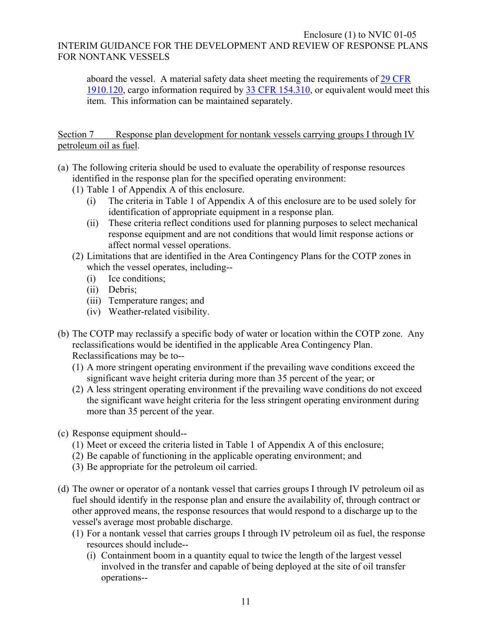## Enclosure (1) to NVIC 01-05

## INTERIM GUIDANCE FOR THE DEVELOPMENT AND REVIEW OF RESPONSE PLANS FOR NONTANK VESSELS

aboard the vessel. A material safety data sheet meeting the requirements of [29 CFR](http://a257.g.akamaitech.net/7/257/2422/06sept20031800/edocket.access.gpo.gov/cfr_2003/julqtr/pdf/29cfr1910.120.pdf)  [1910.120](http://a257.g.akamaitech.net/7/257/2422/06sept20031800/edocket.access.gpo.gov/cfr_2003/julqtr/pdf/29cfr1910.120.pdf), cargo information required by [33 CFR 154.310,](http://a257.g.akamaitech.net/7/257/2422/04nov20031500/edocket.access.gpo.gov/cfr_2003/julqtr/pdf/33cfr154.310.pdf) or equivalent would meet this item. This information can be maintained separately.

Section 7 Response plan development for nontank vessels carrying groups I through IV petroleum oil as fuel.

- (a) The following criteria should be used to evaluate the operability of response resources identified in the response plan for the specified operating environment:
	- (1) Table 1 of Appendix A of this enclosure.
		- (i) The criteria in Table 1 of Appendix A of this enclosure are to be used solely for identification of appropriate equipment in a response plan.
		- (ii) These criteria reflect conditions used for planning purposes to select mechanical response equipment and are not conditions that would limit response actions or affect normal vessel operations.
	- (2) Limitations that are identified in the Area Contingency Plans for the COTP zones in which the vessel operates, including--
		- (i) Ice conditions;
		- (ii) Debris;
		- (iii) Temperature ranges; and
		- (iv) Weather-related visibility.
- (b) The COTP may reclassify a specific body of water or location within the COTP zone. Any reclassifications would be identified in the applicable Area Contingency Plan. Reclassifications may be to--
	- (1) A more stringent operating environment if the prevailing wave conditions exceed the significant wave height criteria during more than 35 percent of the year; or
	- (2) A less stringent operating environment if the prevailing wave conditions do not exceed the significant wave height criteria for the less stringent operating environment during more than 35 percent of the year.
- (c) Response equipment should--
	- (1) Meet or exceed the criteria listed in Table 1 of Appendix A of this enclosure;
	- (2) Be capable of functioning in the applicable operating environment; and
	- (3) Be appropriate for the petroleum oil carried.
- (d) The owner or operator of a nontank vessel that carries groups I through IV petroleum oil as fuel should identify in the response plan and ensure the availability of, through contract or other approved means, the response resources that would respond to a discharge up to the vessel's average most probable discharge.
	- (1) For a nontank vessel that carries groups I through IV petroleum oil as fuel, the response resources should include--
		- (i) Containment boom in a quantity equal to twice the length of the largest vessel involved in the transfer and capable of being deployed at the site of oil transfer operations--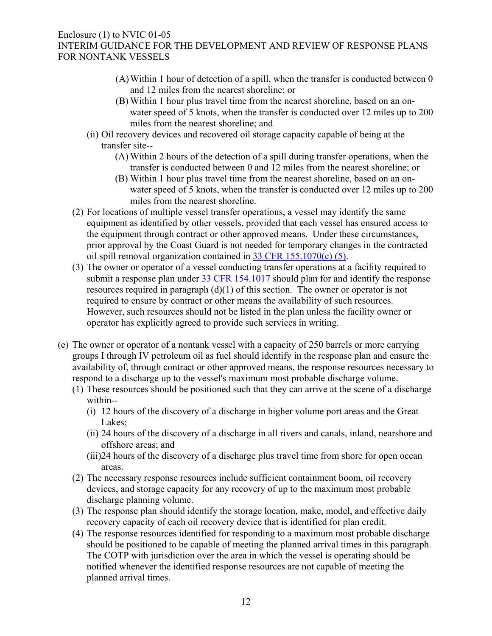- (A) Within 1 hour of detection of a spill, when the transfer is conducted between 0 and 12 miles from the nearest shoreline; or
- (B) Within 1 hour plus travel time from the nearest shoreline, based on an onwater speed of 5 knots, when the transfer is conducted over 12 miles up to 200 miles from the nearest shoreline; and
- (ii) Oil recovery devices and recovered oil storage capacity capable of being at the transfer site--
	- (A) Within 2 hours of the detection of a spill during transfer operations, when the transfer is conducted between 0 and 12 miles from the nearest shoreline; or
	- (B) Within 1 hour plus travel time from the nearest shoreline, based on an onwater speed of 5 knots, when the transfer is conducted over 12 miles up to 200 miles from the nearest shoreline.
- (2) For locations of multiple vessel transfer operations, a vessel may identify the same equipment as identified by other vessels, provided that each vessel has ensured access to the equipment through contract or other approved means. Under these circumstances, prior approval by the Coast Guard is not needed for temporary changes in the contracted oil spill removal organization contained in [33 CFR 155.1070\(c\) \(5\).](http://a257.g.akamaitech.net/7/257/2422/04nov20031500/edocket.access.gpo.gov/cfr_2003/julqtr/pdf/33cfr155.1070.pdf)
- (3) The owner or operator of a vessel conducting transfer operations at a facility required to submit a response plan under [33 CFR 154.1017](http://a257.g.akamaitech.net/7/257/2422/12feb20041500/edocket.access.gpo.gov/cfr_2004/julqtr/33cfr154.1017.htm) should plan for and identify the response resources required in paragraph (d)(1) of this section. The owner or operator is not required to ensure by contract or other means the availability of such resources. However, such resources should not be listed in the plan unless the facility owner or operator has explicitly agreed to provide such services in writing.
- (e) The owner or operator of a nontank vessel with a capacity of 250 barrels or more carrying groups I through IV petroleum oil as fuel should identify in the response plan and ensure the availability of, through contract or other approved means, the response resources necessary to respond to a discharge up to the vessel's maximum most probable discharge volume.
	- (1) These resources should be positioned such that they can arrive at the scene of a discharge within--
		- (i) 12 hours of the discovery of a discharge in higher volume port areas and the Great Lakes;
		- (ii) 24 hours of the discovery of a discharge in all rivers and canals, inland, nearshore and offshore areas; and
		- (iii)24 hours of the discovery of a discharge plus travel time from shore for open ocean areas.
	- (2) The necessary response resources include sufficient containment boom, oil recovery devices, and storage capacity for any recovery of up to the maximum most probable discharge planning volume.
	- (3) The response plan should identify the storage location, make, model, and effective daily recovery capacity of each oil recovery device that is identified for plan credit.
	- (4) The response resources identified for responding to a maximum most probable discharge should be positioned to be capable of meeting the planned arrival times in this paragraph. The COTP with jurisdiction over the area in which the vessel is operating should be notified whenever the identified response resources are not capable of meeting the planned arrival times.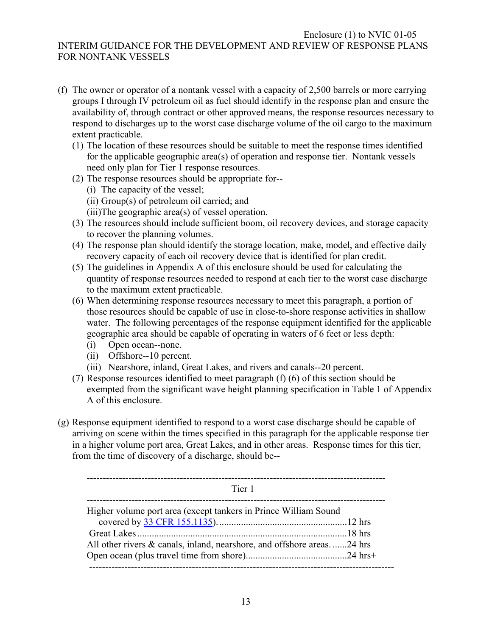# Enclosure (1) to NVIC 01-05

### INTERIM GUIDANCE FOR THE DEVELOPMENT AND REVIEW OF RESPONSE PLANS FOR NONTANK VESSELS

- (f) The owner or operator of a nontank vessel with a capacity of 2,500 barrels or more carrying groups I through IV petroleum oil as fuel should identify in the response plan and ensure the availability of, through contract or other approved means, the response resources necessary to respond to discharges up to the worst case discharge volume of the oil cargo to the maximum extent practicable.
	- (1) The location of these resources should be suitable to meet the response times identified for the applicable geographic area(s) of operation and response tier. Nontank vessels need only plan for Tier 1 response resources.
	- (2) The response resources should be appropriate for--
		- (i) The capacity of the vessel;
		- (ii) Group(s) of petroleum oil carried; and
		- (iii)The geographic area(s) of vessel operation.
	- (3) The resources should include sufficient boom, oil recovery devices, and storage capacity to recover the planning volumes.
	- (4) The response plan should identify the storage location, make, model, and effective daily recovery capacity of each oil recovery device that is identified for plan credit.
	- (5) The guidelines in Appendix A of this enclosure should be used for calculating the quantity of response resources needed to respond at each tier to the worst case discharge to the maximum extent practicable.
	- (6) When determining response resources necessary to meet this paragraph, a portion of those resources should be capable of use in close-to-shore response activities in shallow water. The following percentages of the response equipment identified for the applicable geographic area should be capable of operating in waters of 6 feet or less depth:
		- (i) Open ocean--none.
		- (ii) Offshore--10 percent.
		- (iii) Nearshore, inland, Great Lakes, and rivers and canals--20 percent.
	- (7) Response resources identified to meet paragraph (f) (6) of this section should be exempted from the significant wave height planning specification in Table 1 of Appendix A of this enclosure.
- (g) Response equipment identified to respond to a worst case discharge should be capable of arriving on scene within the times specified in this paragraph for the applicable response tier in a higher volume port area, Great Lakes, and in other areas. Response times for this tier, from the time of discovery of a discharge, should be--

| Tier 1                                                                    |  |
|---------------------------------------------------------------------------|--|
| Higher volume port area (except tankers in Prince William Sound           |  |
|                                                                           |  |
|                                                                           |  |
| All other rivers $\&$ canals, inland, nearshore, and offshore areas24 hrs |  |
|                                                                           |  |
|                                                                           |  |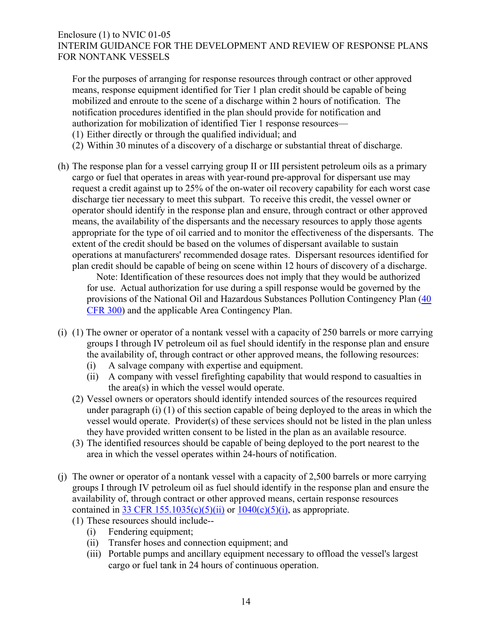For the purposes of arranging for response resources through contract or other approved means, response equipment identified for Tier 1 plan credit should be capable of being mobilized and enroute to the scene of a discharge within 2 hours of notification. The notification procedures identified in the plan should provide for notification and authorization for mobilization of identified Tier 1 response resources—

- (1) Either directly or through the qualified individual; and
- (2) Within 30 minutes of a discovery of a discharge or substantial threat of discharge.
- (h) The response plan for a vessel carrying group II or III persistent petroleum oils as a primary cargo or fuel that operates in areas with year-round pre-approval for dispersant use may request a credit against up to 25% of the on-water oil recovery capability for each worst case discharge tier necessary to meet this subpart. To receive this credit, the vessel owner or operator should identify in the response plan and ensure, through contract or other approved means, the availability of the dispersants and the necessary resources to apply those agents appropriate for the type of oil carried and to monitor the effectiveness of the dispersants. The extent of the credit should be based on the volumes of dispersant available to sustain operations at manufacturers' recommended dosage rates. Dispersant resources identified for plan credit should be capable of being on scene within 12 hours of discovery of a discharge.

 Note: Identification of these resources does not imply that they would be authorized for use. Actual authorization for use during a spill response would be governed by the provisions of the National Oil and Hazardous Substances Pollution Contingency Plan ([40](http://www.access.gpo.gov/nara/cfr/waisidx_04/40cfr300_04.html)  [CFR 300\)](http://www.access.gpo.gov/nara/cfr/waisidx_04/40cfr300_04.html) and the applicable Area Contingency Plan.

- (i) (1) The owner or operator of a nontank vessel with a capacity of 250 barrels or more carrying groups I through IV petroleum oil as fuel should identify in the response plan and ensure the availability of, through contract or other approved means, the following resources:
	- (i) A salvage company with expertise and equipment.
	- (ii) A company with vessel firefighting capability that would respond to casualties in the area(s) in which the vessel would operate.
	- (2) Vessel owners or operators should identify intended sources of the resources required under paragraph (i) (1) of this section capable of being deployed to the areas in which the vessel would operate. Provider(s) of these services should not be listed in the plan unless they have provided written consent to be listed in the plan as an available resource.
	- (3) The identified resources should be capable of being deployed to the port nearest to the area in which the vessel operates within 24-hours of notification.
- (j) The owner or operator of a nontank vessel with a capacity of 2,500 barrels or more carrying groups I through IV petroleum oil as fuel should identify in the response plan and ensure the availability of, through contract or other approved means, certain response resources contained in [33 CFR 155.1035\(c\)\(5\)\(ii\)](http://a257.g.akamaitech.net/7/257/2422/04nov20031500/edocket.access.gpo.gov/cfr_2003/julqtr/pdf/33cfr155.1035.pdf) or  $1040(c)(5)(i)$ , as appropriate.
	- (1) These resources should include--
		- (i) Fendering equipment;
		- (ii) Transfer hoses and connection equipment; and
		- (iii) Portable pumps and ancillary equipment necessary to offload the vessel's largest cargo or fuel tank in 24 hours of continuous operation.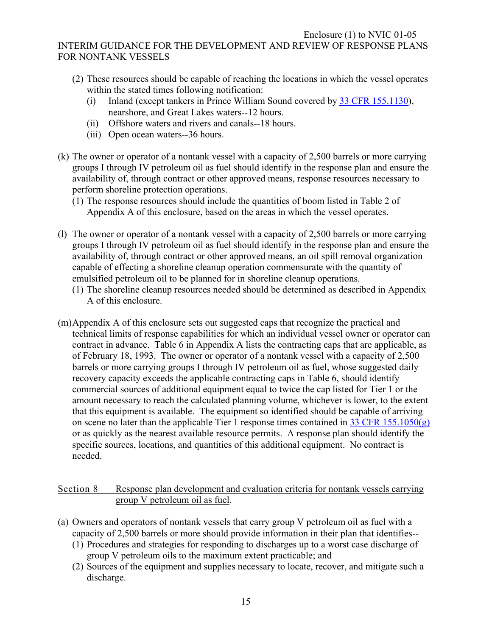#### Enclosure (1) to NVIC 01-05

### INTERIM GUIDANCE FOR THE DEVELOPMENT AND REVIEW OF RESPONSE PLANS FOR NONTANK VESSELS

- (2) These resources should be capable of reaching the locations in which the vessel operates within the stated times following notification:
	- (i) Inland (except tankers in Prince William Sound covered by [33 CFR 155.1130](http://a257.g.akamaitech.net/7/257/2422/04nov20031500/edocket.access.gpo.gov/cfr_2003/julqtr/pdf/33cfr155.1130.pdf)), nearshore, and Great Lakes waters--12 hours.
	- (ii) Offshore waters and rivers and canals--18 hours.
	- (iii) Open ocean waters--36 hours.
- (k) The owner or operator of a nontank vessel with a capacity of 2,500 barrels or more carrying groups I through IV petroleum oil as fuel should identify in the response plan and ensure the availability of, through contract or other approved means, response resources necessary to perform shoreline protection operations.
	- (1) The response resources should include the quantities of boom listed in Table 2 of Appendix A of this enclosure, based on the areas in which the vessel operates.
- (l) The owner or operator of a nontank vessel with a capacity of 2,500 barrels or more carrying groups I through IV petroleum oil as fuel should identify in the response plan and ensure the availability of, through contract or other approved means, an oil spill removal organization capable of effecting a shoreline cleanup operation commensurate with the quantity of emulsified petroleum oil to be planned for in shoreline cleanup operations.
	- (1) The shoreline cleanup resources needed should be determined as described in Appendix A of this enclosure.
- (m)Appendix A of this enclosure sets out suggested caps that recognize the practical and technical limits of response capabilities for which an individual vessel owner or operator can contract in advance. Table 6 in Appendix A lists the contracting caps that are applicable, as of February 18, 1993. The owner or operator of a nontank vessel with a capacity of 2,500 barrels or more carrying groups I through IV petroleum oil as fuel, whose suggested daily recovery capacity exceeds the applicable contracting caps in Table 6, should identify commercial sources of additional equipment equal to twice the cap listed for Tier 1 or the amount necessary to reach the calculated planning volume, whichever is lower, to the extent that this equipment is available. The equipment so identified should be capable of arriving on scene no later than the applicable Tier 1 response times contained in  $33 \text{ CFR } 155.1050(g)$ or as quickly as the nearest available resource permits. A response plan should identify the specific sources, locations, and quantities of this additional equipment. No contract is needed.

### Section 8 Response plan development and evaluation criteria for nontank vessels carrying group V petroleum oil as fuel.

- (a) Owners and operators of nontank vessels that carry group V petroleum oil as fuel with a capacity of 2,500 barrels or more should provide information in their plan that identifies--
	- (1) Procedures and strategies for responding to discharges up to a worst case discharge of group V petroleum oils to the maximum extent practicable; and
	- (2) Sources of the equipment and supplies necessary to locate, recover, and mitigate such a discharge.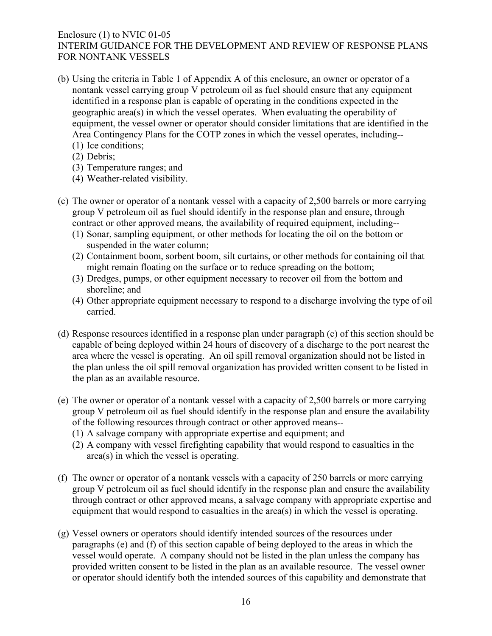- (b) Using the criteria in Table 1 of Appendix A of this enclosure, an owner or operator of a nontank vessel carrying group V petroleum oil as fuel should ensure that any equipment identified in a response plan is capable of operating in the conditions expected in the geographic area(s) in which the vessel operates. When evaluating the operability of equipment, the vessel owner or operator should consider limitations that are identified in the Area Contingency Plans for the COTP zones in which the vessel operates, including--
	- (1) Ice conditions;
	- (2) Debris;
	- (3) Temperature ranges; and
	- (4) Weather-related visibility.
- (c) The owner or operator of a nontank vessel with a capacity of 2,500 barrels or more carrying group V petroleum oil as fuel should identify in the response plan and ensure, through contract or other approved means, the availability of required equipment, including--
	- (1) Sonar, sampling equipment, or other methods for locating the oil on the bottom or suspended in the water column;
	- (2) Containment boom, sorbent boom, silt curtains, or other methods for containing oil that might remain floating on the surface or to reduce spreading on the bottom;
	- (3) Dredges, pumps, or other equipment necessary to recover oil from the bottom and shoreline; and
	- (4) Other appropriate equipment necessary to respond to a discharge involving the type of oil carried.
- (d) Response resources identified in a response plan under paragraph (c) of this section should be capable of being deployed within 24 hours of discovery of a discharge to the port nearest the area where the vessel is operating. An oil spill removal organization should not be listed in the plan unless the oil spill removal organization has provided written consent to be listed in the plan as an available resource.
- (e) The owner or operator of a nontank vessel with a capacity of 2,500 barrels or more carrying group V petroleum oil as fuel should identify in the response plan and ensure the availability of the following resources through contract or other approved means--
	- (1) A salvage company with appropriate expertise and equipment; and
	- (2) A company with vessel firefighting capability that would respond to casualties in the area(s) in which the vessel is operating.
- (f) The owner or operator of a nontank vessels with a capacity of 250 barrels or more carrying group V petroleum oil as fuel should identify in the response plan and ensure the availability through contract or other approved means, a salvage company with appropriate expertise and equipment that would respond to casualties in the area(s) in which the vessel is operating.
- (g) Vessel owners or operators should identify intended sources of the resources under paragraphs (e) and (f) of this section capable of being deployed to the areas in which the vessel would operate. A company should not be listed in the plan unless the company has provided written consent to be listed in the plan as an available resource. The vessel owner or operator should identify both the intended sources of this capability and demonstrate that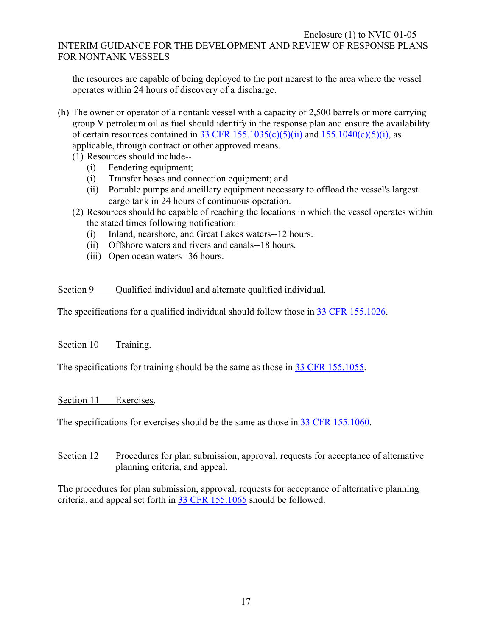### INTERIM GUIDANCE FOR THE DEVELOPMENT AND REVIEW OF RESPONSE PLANS FOR NONTANK VESSELS

the resources are capable of being deployed to the port nearest to the area where the vessel operates within 24 hours of discovery of a discharge.

- (h) The owner or operator of a nontank vessel with a capacity of 2,500 barrels or more carrying group V petroleum oil as fuel should identify in the response plan and ensure the availability of certain resources contained in 33 CFR  $155.1035(c)(5)(ii)$  and  $155.1040(c)(5)(i)$ , as applicable, through contract or other approved means.
	- (1) Resources should include--
		- (i) Fendering equipment;
		- (i) Transfer hoses and connection equipment; and
		- (ii) Portable pumps and ancillary equipment necessary to offload the vessel's largest cargo tank in 24 hours of continuous operation.
	- (2) Resources should be capable of reaching the locations in which the vessel operates within the stated times following notification:
		- (i) Inland, nearshore, and Great Lakes waters--12 hours.
		- (ii) Offshore waters and rivers and canals--18 hours.
		- (iii) Open ocean waters--36 hours.

### Section 9 Qualified individual and alternate qualified individual.

The specifications for a qualified individual should follow those in [33 CFR 155.1026](http://a257.g.akamaitech.net/7/257/2422/04nov20031500/edocket.access.gpo.gov/cfr_2003/julqtr/pdf/33cfr155.1026.pdf).

Section 10 Training.

The specifications for training should be the same as those in [33 CFR 155.1055](http://a257.g.akamaitech.net/7/257/2422/04nov20031500/edocket.access.gpo.gov/cfr_2003/julqtr/pdf/33cfr155.1055.pdf).

Section 11 Exercises.

The specifications for exercises should be the same as those in [33 CFR 155.1060.](http://a257.g.akamaitech.net/7/257/2422/04nov20031500/edocket.access.gpo.gov/cfr_2003/julqtr/pdf/33cfr155.1060.pdf)

### Section 12 Procedures for plan submission, approval, requests for acceptance of alternative planning criteria, and appeal.

The procedures for plan submission, approval, requests for acceptance of alternative planning criteria, and appeal set forth in [33 CFR 155.1065](http://a257.g.akamaitech.net/7/257/2422/04nov20031500/edocket.access.gpo.gov/cfr_2003/julqtr/pdf/33cfr155.1065.pdf) should be followed.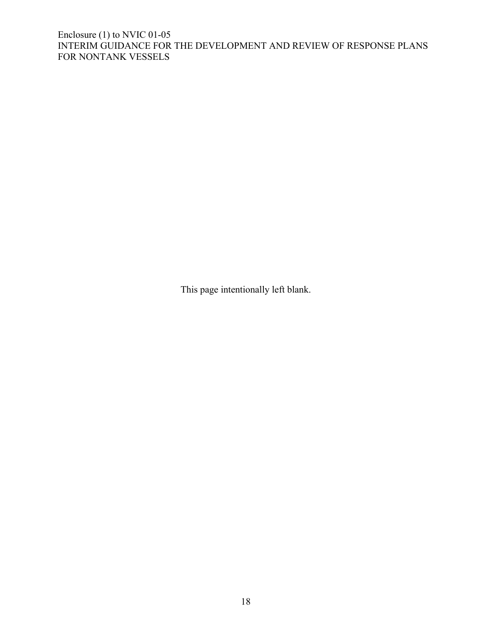This page intentionally left blank.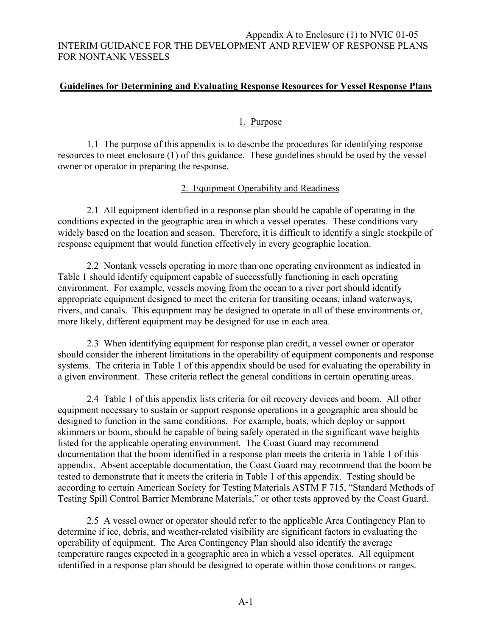## INTERIM GUIDANCE FOR THE DEVELOPMENT AND REVIEW OF RESPONSE PLANS FOR NONTANK VESSELS

### **Guidelines for Determining and Evaluating Response Resources for Vessel Response Plans**

#### 1. Purpose

1.1 The purpose of this appendix is to describe the procedures for identifying response resources to meet enclosure (1) of this guidance. These guidelines should be used by the vessel owner or operator in preparing the response.

### 2. Equipment Operability and Readiness

2.1 All equipment identified in a response plan should be capable of operating in the conditions expected in the geographic area in which a vessel operates. These conditions vary widely based on the location and season. Therefore, it is difficult to identify a single stockpile of response equipment that would function effectively in every geographic location.

2.2 Nontank vessels operating in more than one operating environment as indicated in Table 1 should identify equipment capable of successfully functioning in each operating environment. For example, vessels moving from the ocean to a river port should identify appropriate equipment designed to meet the criteria for transiting oceans, inland waterways, rivers, and canals. This equipment may be designed to operate in all of these environments or, more likely, different equipment may be designed for use in each area.

2.3 When identifying equipment for response plan credit, a vessel owner or operator should consider the inherent limitations in the operability of equipment components and response systems. The criteria in Table 1 of this appendix should be used for evaluating the operability in a given environment. These criteria reflect the general conditions in certain operating areas.

2.4 Table 1 of this appendix lists criteria for oil recovery devices and boom. All other equipment necessary to sustain or support response operations in a geographic area should be designed to function in the same conditions. For example, boats, which deploy or support skimmers or boom, should be capable of being safely operated in the significant wave heights listed for the applicable operating environment. The Coast Guard may recommend documentation that the boom identified in a response plan meets the criteria in Table 1 of this appendix. Absent acceptable documentation, the Coast Guard may recommend that the boom be tested to demonstrate that it meets the criteria in Table 1 of this appendix. Testing should be according to certain American Society for Testing Materials ASTM F 715, "Standard Methods of Testing Spill Control Barrier Membrane Materials," or other tests approved by the Coast Guard.

2.5 A vessel owner or operator should refer to the applicable Area Contingency Plan to determine if ice, debris, and weather-related visibility are significant factors in evaluating the operability of equipment. The Area Contingency Plan should also identify the average temperature ranges expected in a geographic area in which a vessel operates. All equipment identified in a response plan should be designed to operate within those conditions or ranges.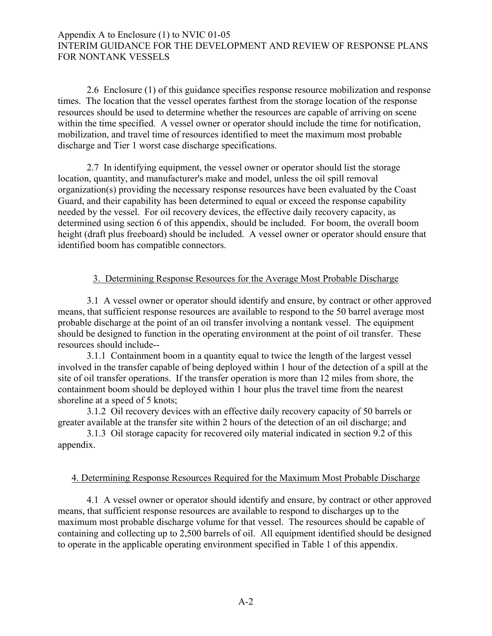2.6 Enclosure (1) of this guidance specifies response resource mobilization and response times. The location that the vessel operates farthest from the storage location of the response resources should be used to determine whether the resources are capable of arriving on scene within the time specified. A vessel owner or operator should include the time for notification, mobilization, and travel time of resources identified to meet the maximum most probable discharge and Tier 1 worst case discharge specifications.

2.7 In identifying equipment, the vessel owner or operator should list the storage location, quantity, and manufacturer's make and model, unless the oil spill removal organization(s) providing the necessary response resources have been evaluated by the Coast Guard, and their capability has been determined to equal or exceed the response capability needed by the vessel. For oil recovery devices, the effective daily recovery capacity, as determined using section 6 of this appendix, should be included. For boom, the overall boom height (draft plus freeboard) should be included. A vessel owner or operator should ensure that identified boom has compatible connectors.

### 3. Determining Response Resources for the Average Most Probable Discharge

3.1 A vessel owner or operator should identify and ensure, by contract or other approved means, that sufficient response resources are available to respond to the 50 barrel average most probable discharge at the point of an oil transfer involving a nontank vessel. The equipment should be designed to function in the operating environment at the point of oil transfer. These resources should include--

3.1.1 Containment boom in a quantity equal to twice the length of the largest vessel involved in the transfer capable of being deployed within 1 hour of the detection of a spill at the site of oil transfer operations. If the transfer operation is more than 12 miles from shore, the containment boom should be deployed within 1 hour plus the travel time from the nearest shoreline at a speed of 5 knots;

3.1.2 Oil recovery devices with an effective daily recovery capacity of 50 barrels or greater available at the transfer site within 2 hours of the detection of an oil discharge; and

3.1.3 Oil storage capacity for recovered oily material indicated in section 9.2 of this appendix.

#### 4. Determining Response Resources Required for the Maximum Most Probable Discharge

4.1 A vessel owner or operator should identify and ensure, by contract or other approved means, that sufficient response resources are available to respond to discharges up to the maximum most probable discharge volume for that vessel. The resources should be capable of containing and collecting up to 2,500 barrels of oil. All equipment identified should be designed to operate in the applicable operating environment specified in Table 1 of this appendix.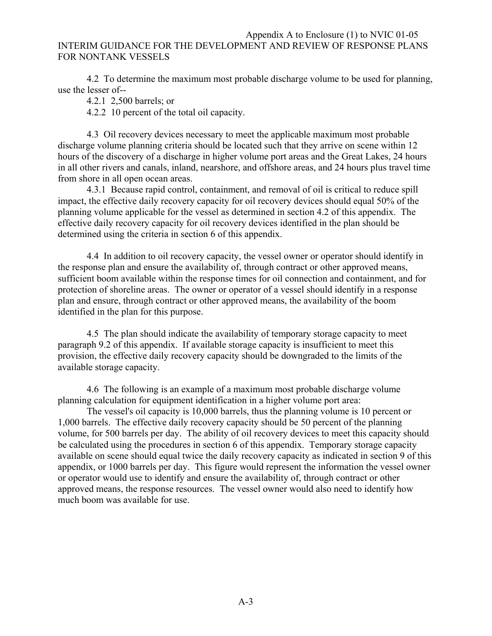Appendix A to Enclosure (1) to NVIC 01-05

## INTERIM GUIDANCE FOR THE DEVELOPMENT AND REVIEW OF RESPONSE PLANS FOR NONTANK VESSELS

4.2 To determine the maximum most probable discharge volume to be used for planning, use the lesser of--

4.2.1 2,500 barrels; or

4.2.2 10 percent of the total oil capacity.

4.3 Oil recovery devices necessary to meet the applicable maximum most probable discharge volume planning criteria should be located such that they arrive on scene within 12 hours of the discovery of a discharge in higher volume port areas and the Great Lakes, 24 hours in all other rivers and canals, inland, nearshore, and offshore areas, and 24 hours plus travel time from shore in all open ocean areas.

4.3.1 Because rapid control, containment, and removal of oil is critical to reduce spill impact, the effective daily recovery capacity for oil recovery devices should equal 50% of the planning volume applicable for the vessel as determined in section 4.2 of this appendix. The effective daily recovery capacity for oil recovery devices identified in the plan should be determined using the criteria in section 6 of this appendix.

4.4 In addition to oil recovery capacity, the vessel owner or operator should identify in the response plan and ensure the availability of, through contract or other approved means, sufficient boom available within the response times for oil connection and containment, and for protection of shoreline areas. The owner or operator of a vessel should identify in a response plan and ensure, through contract or other approved means, the availability of the boom identified in the plan for this purpose.

4.5 The plan should indicate the availability of temporary storage capacity to meet paragraph 9.2 of this appendix. If available storage capacity is insufficient to meet this provision, the effective daily recovery capacity should be downgraded to the limits of the available storage capacity.

4.6 The following is an example of a maximum most probable discharge volume planning calculation for equipment identification in a higher volume port area:

The vessel's oil capacity is 10,000 barrels, thus the planning volume is 10 percent or 1,000 barrels. The effective daily recovery capacity should be 50 percent of the planning volume, for 500 barrels per day. The ability of oil recovery devices to meet this capacity should be calculated using the procedures in section 6 of this appendix. Temporary storage capacity available on scene should equal twice the daily recovery capacity as indicated in section 9 of this appendix, or 1000 barrels per day. This figure would represent the information the vessel owner or operator would use to identify and ensure the availability of, through contract or other approved means, the response resources. The vessel owner would also need to identify how much boom was available for use.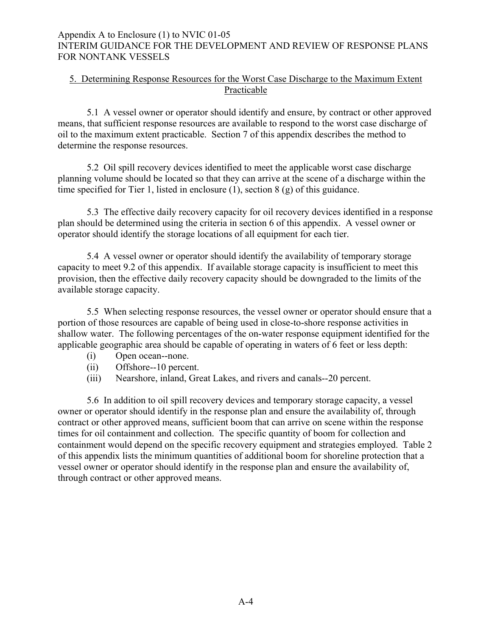### 5. Determining Response Resources for the Worst Case Discharge to the Maximum Extent Practicable

5.1 A vessel owner or operator should identify and ensure, by contract or other approved means, that sufficient response resources are available to respond to the worst case discharge of oil to the maximum extent practicable. Section 7 of this appendix describes the method to determine the response resources.

5.2 Oil spill recovery devices identified to meet the applicable worst case discharge planning volume should be located so that they can arrive at the scene of a discharge within the time specified for Tier 1, listed in enclosure (1), section 8 (g) of this guidance.

5.3 The effective daily recovery capacity for oil recovery devices identified in a response plan should be determined using the criteria in section 6 of this appendix. A vessel owner or operator should identify the storage locations of all equipment for each tier.

5.4 A vessel owner or operator should identify the availability of temporary storage capacity to meet 9.2 of this appendix. If available storage capacity is insufficient to meet this provision, then the effective daily recovery capacity should be downgraded to the limits of the available storage capacity.

5.5 When selecting response resources, the vessel owner or operator should ensure that a portion of those resources are capable of being used in close-to-shore response activities in shallow water. The following percentages of the on-water response equipment identified for the applicable geographic area should be capable of operating in waters of 6 feet or less depth:

- (i) Open ocean--none.
- (ii) Offshore--10 percent.
- (iii) Nearshore, inland, Great Lakes, and rivers and canals--20 percent.

5.6 In addition to oil spill recovery devices and temporary storage capacity, a vessel owner or operator should identify in the response plan and ensure the availability of, through contract or other approved means, sufficient boom that can arrive on scene within the response times for oil containment and collection. The specific quantity of boom for collection and containment would depend on the specific recovery equipment and strategies employed. Table 2 of this appendix lists the minimum quantities of additional boom for shoreline protection that a vessel owner or operator should identify in the response plan and ensure the availability of, through contract or other approved means.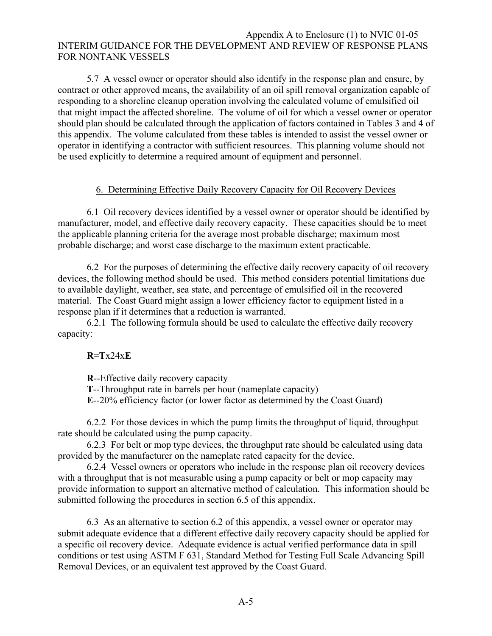# INTERIM GUIDANCE FOR THE DEVELOPMENT AND REVIEW OF RESPONSE PLANS FOR NONTANK VESSELS

5.7 A vessel owner or operator should also identify in the response plan and ensure, by contract or other approved means, the availability of an oil spill removal organization capable of responding to a shoreline cleanup operation involving the calculated volume of emulsified oil that might impact the affected shoreline. The volume of oil for which a vessel owner or operator should plan should be calculated through the application of factors contained in Tables 3 and 4 of this appendix. The volume calculated from these tables is intended to assist the vessel owner or operator in identifying a contractor with sufficient resources. This planning volume should not be used explicitly to determine a required amount of equipment and personnel.

### 6. Determining Effective Daily Recovery Capacity for Oil Recovery Devices

6.1 Oil recovery devices identified by a vessel owner or operator should be identified by manufacturer, model, and effective daily recovery capacity. These capacities should be to meet the applicable planning criteria for the average most probable discharge; maximum most probable discharge; and worst case discharge to the maximum extent practicable.

6.2 For the purposes of determining the effective daily recovery capacity of oil recovery devices, the following method should be used. This method considers potential limitations due to available daylight, weather, sea state, and percentage of emulsified oil in the recovered material. The Coast Guard might assign a lower efficiency factor to equipment listed in a response plan if it determines that a reduction is warranted.

6.2.1 The following formula should be used to calculate the effective daily recovery capacity:

**R**=**T**x24x**E**

**R**--Effective daily recovery capacity

**T**--Throughput rate in barrels per hour (nameplate capacity)

**E**--20% efficiency factor (or lower factor as determined by the Coast Guard)

6.2.2 For those devices in which the pump limits the throughput of liquid, throughput rate should be calculated using the pump capacity.

6.2.3 For belt or mop type devices, the throughput rate should be calculated using data provided by the manufacturer on the nameplate rated capacity for the device.

6.2.4 Vessel owners or operators who include in the response plan oil recovery devices with a throughput that is not measurable using a pump capacity or belt or mop capacity may provide information to support an alternative method of calculation. This information should be submitted following the procedures in section 6.5 of this appendix.

6.3 As an alternative to section 6.2 of this appendix, a vessel owner or operator may submit adequate evidence that a different effective daily recovery capacity should be applied for a specific oil recovery device. Adequate evidence is actual verified performance data in spill conditions or test using ASTM F 631, Standard Method for Testing Full Scale Advancing Spill Removal Devices, or an equivalent test approved by the Coast Guard.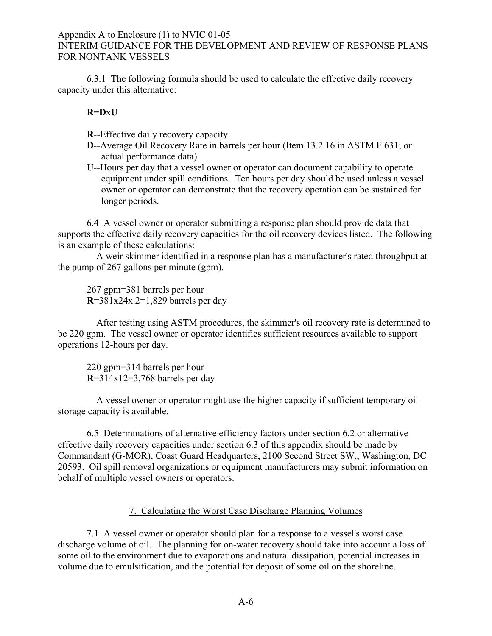6.3.1 The following formula should be used to calculate the effective daily recovery capacity under this alternative:

**R**=**D**x**U**

- **R**--Effective daily recovery capacity
- **D**--Average Oil Recovery Rate in barrels per hour (Item 13.2.16 in ASTM F 631; or actual performance data)
- **U**--Hours per day that a vessel owner or operator can document capability to operate equipment under spill conditions. Ten hours per day should be used unless a vessel owner or operator can demonstrate that the recovery operation can be sustained for longer periods.

6.4 A vessel owner or operator submitting a response plan should provide data that supports the effective daily recovery capacities for the oil recovery devices listed. The following is an example of these calculations:

 A weir skimmer identified in a response plan has a manufacturer's rated throughput at the pump of 267 gallons per minute (gpm).

267 gpm=381 barrels per hour **R**=381x24x.2=1,829 barrels per day

 After testing using ASTM procedures, the skimmer's oil recovery rate is determined to be 220 gpm. The vessel owner or operator identifies sufficient resources available to support operations 12-hours per day.

220 gpm=314 barrels per hour  $R=314x12=3,768$  barrels per day

 A vessel owner or operator might use the higher capacity if sufficient temporary oil storage capacity is available.

6.5 Determinations of alternative efficiency factors under section 6.2 or alternative effective daily recovery capacities under section 6.3 of this appendix should be made by Commandant (G-MOR), Coast Guard Headquarters, 2100 Second Street SW., Washington, DC 20593. Oil spill removal organizations or equipment manufacturers may submit information on behalf of multiple vessel owners or operators.

### 7. Calculating the Worst Case Discharge Planning Volumes

7.1 A vessel owner or operator should plan for a response to a vessel's worst case discharge volume of oil. The planning for on-water recovery should take into account a loss of some oil to the environment due to evaporations and natural dissipation, potential increases in volume due to emulsification, and the potential for deposit of some oil on the shoreline.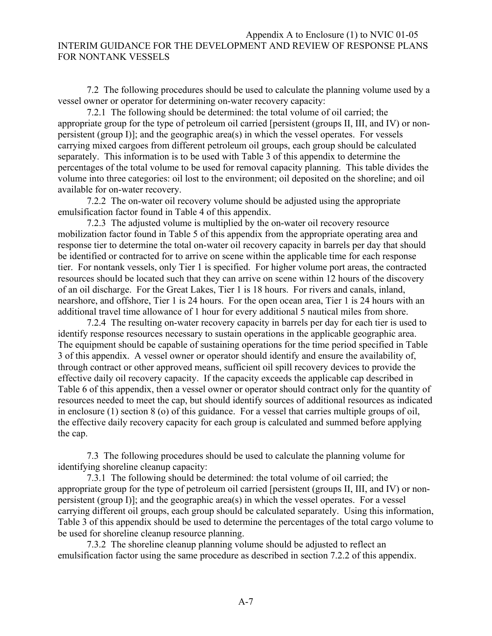Appendix A to Enclosure (1) to NVIC 01-05

## INTERIM GUIDANCE FOR THE DEVELOPMENT AND REVIEW OF RESPONSE PLANS FOR NONTANK VESSELS

7.2 The following procedures should be used to calculate the planning volume used by a vessel owner or operator for determining on-water recovery capacity:

7.2.1 The following should be determined: the total volume of oil carried; the appropriate group for the type of petroleum oil carried [persistent (groups II, III, and IV) or nonpersistent (group I)]; and the geographic area(s) in which the vessel operates. For vessels carrying mixed cargoes from different petroleum oil groups, each group should be calculated separately. This information is to be used with Table 3 of this appendix to determine the percentages of the total volume to be used for removal capacity planning. This table divides the volume into three categories: oil lost to the environment; oil deposited on the shoreline; and oil available for on-water recovery.

7.2.2 The on-water oil recovery volume should be adjusted using the appropriate emulsification factor found in Table 4 of this appendix.

7.2.3 The adjusted volume is multiplied by the on-water oil recovery resource mobilization factor found in Table 5 of this appendix from the appropriate operating area and response tier to determine the total on-water oil recovery capacity in barrels per day that should be identified or contracted for to arrive on scene within the applicable time for each response tier. For nontank vessels, only Tier 1 is specified. For higher volume port areas, the contracted resources should be located such that they can arrive on scene within 12 hours of the discovery of an oil discharge. For the Great Lakes, Tier 1 is 18 hours. For rivers and canals, inland, nearshore, and offshore, Tier 1 is 24 hours. For the open ocean area, Tier 1 is 24 hours with an additional travel time allowance of 1 hour for every additional 5 nautical miles from shore.

7.2.4 The resulting on-water recovery capacity in barrels per day for each tier is used to identify response resources necessary to sustain operations in the applicable geographic area. The equipment should be capable of sustaining operations for the time period specified in Table 3 of this appendix. A vessel owner or operator should identify and ensure the availability of, through contract or other approved means, sufficient oil spill recovery devices to provide the effective daily oil recovery capacity. If the capacity exceeds the applicable cap described in Table 6 of this appendix, then a vessel owner or operator should contract only for the quantity of resources needed to meet the cap, but should identify sources of additional resources as indicated in enclosure (1) section 8 (o) of this guidance. For a vessel that carries multiple groups of oil, the effective daily recovery capacity for each group is calculated and summed before applying the cap.

7.3 The following procedures should be used to calculate the planning volume for identifying shoreline cleanup capacity:

7.3.1 The following should be determined: the total volume of oil carried; the appropriate group for the type of petroleum oil carried [persistent (groups II, III, and IV) or nonpersistent (group I)]; and the geographic area(s) in which the vessel operates. For a vessel carrying different oil groups, each group should be calculated separately. Using this information, Table 3 of this appendix should be used to determine the percentages of the total cargo volume to be used for shoreline cleanup resource planning.

7.3.2 The shoreline cleanup planning volume should be adjusted to reflect an emulsification factor using the same procedure as described in section 7.2.2 of this appendix.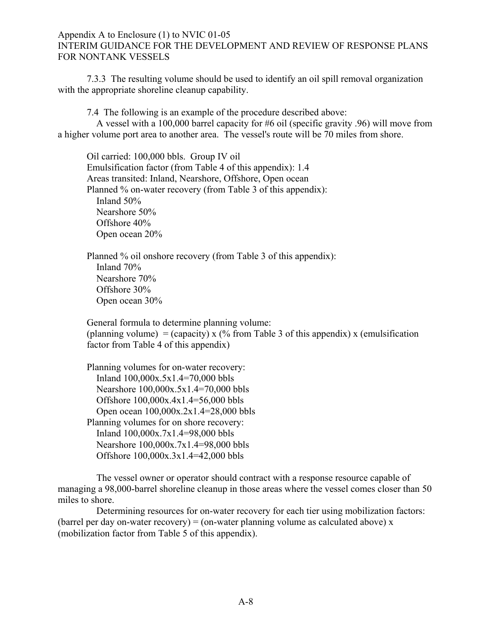7.3.3 The resulting volume should be used to identify an oil spill removal organization with the appropriate shoreline cleanup capability.

7.4 The following is an example of the procedure described above:

 A vessel with a 100,000 barrel capacity for #6 oil (specific gravity .96) will move from a higher volume port area to another area. The vessel's route will be 70 miles from shore.

Oil carried: 100,000 bbls. Group IV oil Emulsification factor (from Table 4 of this appendix): 1.4 Areas transited: Inland, Nearshore, Offshore, Open ocean Planned % on-water recovery (from Table 3 of this appendix): Inland 50% Nearshore 50% Offshore 40% Open ocean 20%

Planned % oil onshore recovery (from Table 3 of this appendix): Inland 70% Nearshore 70% Offshore 30% Open ocean 30%

General formula to determine planning volume: (planning volume) = (capacity) x (% from Table 3 of this appendix) x (emulsification factor from Table 4 of this appendix)

Planning volumes for on-water recovery: Inland 100,000x.5x1.4=70,000 bbls Nearshore 100,000x.5x1.4=70,000 bbls Offshore 100,000x.4x1.4=56,000 bbls Open ocean 100,000x.2x1.4=28,000 bbls Planning volumes for on shore recovery: Inland 100,000x.7x1.4=98,000 bbls Nearshore 100,000x.7x1.4=98,000 bbls Offshore 100,000x.3x1.4=42,000 bbls

 The vessel owner or operator should contract with a response resource capable of managing a 98,000-barrel shoreline cleanup in those areas where the vessel comes closer than 50 miles to shore.

 Determining resources for on-water recovery for each tier using mobilization factors: (barrel per day on-water recovery) = (on-water planning volume as calculated above)  $x$ (mobilization factor from Table 5 of this appendix).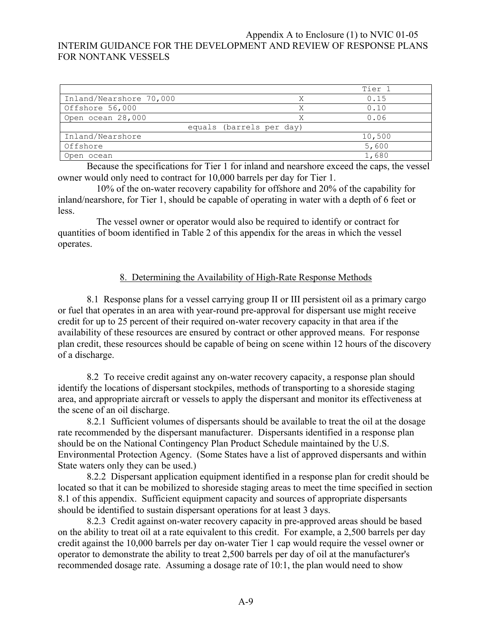|                         |                          | Tier 1 |
|-------------------------|--------------------------|--------|
| Inland/Nearshore 70,000 | Χ                        | 0.15   |
| Offshore 56,000         | Χ                        | 0.10   |
| Open ocean 28,000       |                          | 0.06   |
|                         | equals (barrels per day) |        |
| Inland/Nearshore        |                          | 10,500 |
| Offshore                |                          | 5,600  |
| Open ocean              |                          | 1,680  |

Because the specifications for Tier 1 for inland and nearshore exceed the caps, the vessel owner would only need to contract for 10,000 barrels per day for Tier 1.

 10% of the on-water recovery capability for offshore and 20% of the capability for inland/nearshore, for Tier 1, should be capable of operating in water with a depth of 6 feet or less.

 The vessel owner or operator would also be required to identify or contract for quantities of boom identified in Table 2 of this appendix for the areas in which the vessel operates.

### 8. Determining the Availability of High-Rate Response Methods

8.1 Response plans for a vessel carrying group II or III persistent oil as a primary cargo or fuel that operates in an area with year-round pre-approval for dispersant use might receive credit for up to 25 percent of their required on-water recovery capacity in that area if the availability of these resources are ensured by contract or other approved means. For response plan credit, these resources should be capable of being on scene within 12 hours of the discovery of a discharge.

8.2 To receive credit against any on-water recovery capacity, a response plan should identify the locations of dispersant stockpiles, methods of transporting to a shoreside staging area, and appropriate aircraft or vessels to apply the dispersant and monitor its effectiveness at the scene of an oil discharge.

8.2.1 Sufficient volumes of dispersants should be available to treat the oil at the dosage rate recommended by the dispersant manufacturer. Dispersants identified in a response plan should be on the National Contingency Plan Product Schedule maintained by the U.S. Environmental Protection Agency. (Some States have a list of approved dispersants and within State waters only they can be used.)

8.2.2 Dispersant application equipment identified in a response plan for credit should be located so that it can be mobilized to shoreside staging areas to meet the time specified in section 8.1 of this appendix. Sufficient equipment capacity and sources of appropriate dispersants should be identified to sustain dispersant operations for at least 3 days.

8.2.3 Credit against on-water recovery capacity in pre-approved areas should be based on the ability to treat oil at a rate equivalent to this credit. For example, a 2,500 barrels per day credit against the 10,000 barrels per day on-water Tier 1 cap would require the vessel owner or operator to demonstrate the ability to treat 2,500 barrels per day of oil at the manufacturer's recommended dosage rate. Assuming a dosage rate of 10:1, the plan would need to show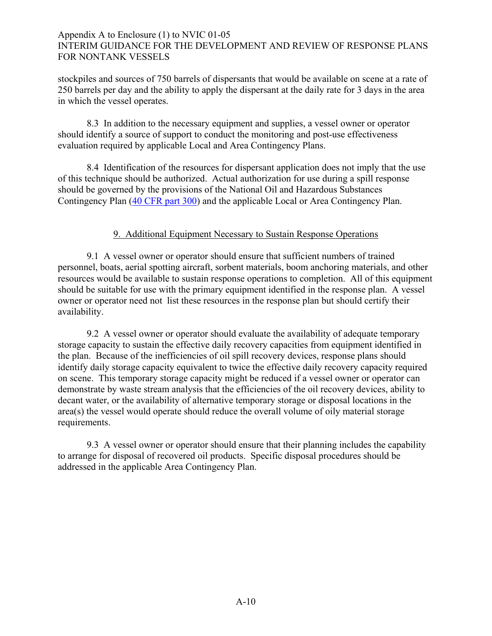stockpiles and sources of 750 barrels of dispersants that would be available on scene at a rate of 250 barrels per day and the ability to apply the dispersant at the daily rate for 3 days in the area in which the vessel operates.

8.3 In addition to the necessary equipment and supplies, a vessel owner or operator should identify a source of support to conduct the monitoring and post-use effectiveness evaluation required by applicable Local and Area Contingency Plans.

8.4 Identification of the resources for dispersant application does not imply that the use of this technique should be authorized. Actual authorization for use during a spill response should be governed by the provisions of the National Oil and Hazardous Substances Contingency Plan ([40 CFR part 300](http://www.access.gpo.gov/nara/cfr/waisidx_03/40cfr300_03.html)) and the applicable Local or Area Contingency Plan.

### 9. Additional Equipment Necessary to Sustain Response Operations

9.1 A vessel owner or operator should ensure that sufficient numbers of trained personnel, boats, aerial spotting aircraft, sorbent materials, boom anchoring materials, and other resources would be available to sustain response operations to completion. All of this equipment should be suitable for use with the primary equipment identified in the response plan. A vessel owner or operator need not list these resources in the response plan but should certify their availability.

9.2 A vessel owner or operator should evaluate the availability of adequate temporary storage capacity to sustain the effective daily recovery capacities from equipment identified in the plan. Because of the inefficiencies of oil spill recovery devices, response plans should identify daily storage capacity equivalent to twice the effective daily recovery capacity required on scene. This temporary storage capacity might be reduced if a vessel owner or operator can demonstrate by waste stream analysis that the efficiencies of the oil recovery devices, ability to decant water, or the availability of alternative temporary storage or disposal locations in the area(s) the vessel would operate should reduce the overall volume of oily material storage requirements.

9.3 A vessel owner or operator should ensure that their planning includes the capability to arrange for disposal of recovered oil products. Specific disposal procedures should be addressed in the applicable Area Contingency Plan.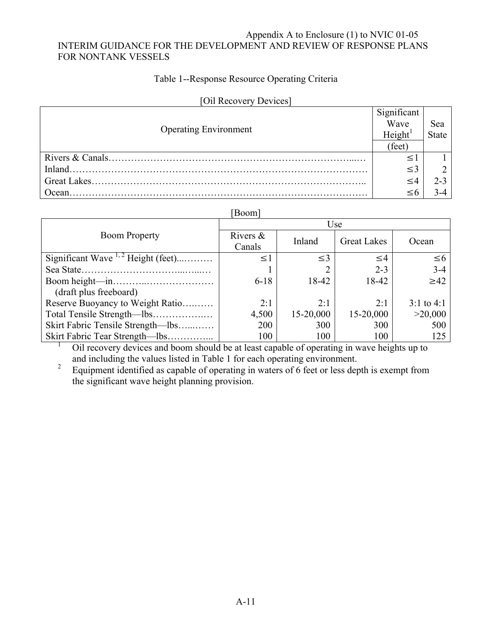## Table 1--Response Resource Operating Criteria

| [Oil Recovery Devices]       |                     |              |  |  |  |  |
|------------------------------|---------------------|--------------|--|--|--|--|
|                              | Significant         |              |  |  |  |  |
| <b>Operating Environment</b> | Wave                | Sea          |  |  |  |  |
|                              | Height <sup>1</sup> | <b>State</b> |  |  |  |  |
|                              | (feet)              |              |  |  |  |  |
|                              | $\leq$ 1            |              |  |  |  |  |
|                              | $\leq$ 3            |              |  |  |  |  |
|                              | $\leq 4$            | $2 - 3$      |  |  |  |  |
|                              |                     |              |  |  |  |  |

|                                       | Boom]    |                |                    |              |  |  |  |
|---------------------------------------|----------|----------------|--------------------|--------------|--|--|--|
|                                       | Use      |                |                    |              |  |  |  |
| <b>Boom Property</b>                  | Rivers & |                | <b>Great Lakes</b> | Ocean        |  |  |  |
|                                       | Canals   | Inland         |                    |              |  |  |  |
| Significant Wave $1, 2$ Height (feet) | $\leq$ 1 | $\leq$ 3       | $\leq 4$           | $\leq 6$     |  |  |  |
|                                       |          | $\overline{2}$ | $2 - 3$            | $3 - 4$      |  |  |  |
|                                       | $6 - 18$ | 18-42          | 18-42              | $\geq 42$    |  |  |  |
| (draft plus freeboard)                |          |                |                    |              |  |  |  |
| Reserve Buoyancy to Weight Ratio      | 2:1      | 2:1            | 2:1                | $3:1$ to 4:1 |  |  |  |
| Total Tensile Strength—lbs            | 4,500    | 15-20,000      | 15-20,000          | >20,000      |  |  |  |
| Skirt Fabric Tensile Strength—lbs     | 200      | <b>300</b>     | 300                | 500          |  |  |  |
| Skirt Fabric Tear Strength-lbs        | 100      | 100            | 100                | 125          |  |  |  |

1 Oil recovery devices and boom should be at least capable of operating in wave heights up to and including the values listed in Table 1 for each operating environment.

2 Equipment identified as capable of operating in waters of 6 feet or less depth is exempt from the significant wave height planning provision.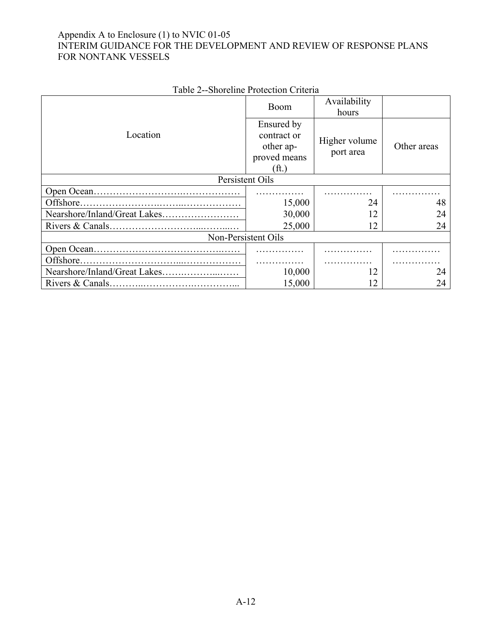| Table 2--Shoreline Protection Criteria |                   |                       |             |  |  |  |  |
|----------------------------------------|-------------------|-----------------------|-------------|--|--|--|--|
|                                        | <b>Boom</b>       | Availability<br>hours |             |  |  |  |  |
|                                        | Ensured by        |                       |             |  |  |  |  |
| Location                               | contract or       |                       |             |  |  |  |  |
|                                        | other ap-         | Higher volume         | Other areas |  |  |  |  |
|                                        | proved means      | port area             |             |  |  |  |  |
|                                        | (f <sub>t</sub> ) |                       |             |  |  |  |  |
| Persistent Oils                        |                   |                       |             |  |  |  |  |
|                                        |                   |                       |             |  |  |  |  |
|                                        | 15,000            | 24                    | 48          |  |  |  |  |
|                                        | 30,000            | 12                    | 24          |  |  |  |  |
|                                        | 25,000            | 12                    | 24          |  |  |  |  |
| Non-Persistent Oils                    |                   |                       |             |  |  |  |  |
|                                        |                   |                       |             |  |  |  |  |
|                                        |                   |                       |             |  |  |  |  |
|                                        | 10,000            | 12                    | 24          |  |  |  |  |
|                                        | 15,000            | 12                    | 24          |  |  |  |  |

Table 2--Shoreline Protection Criteria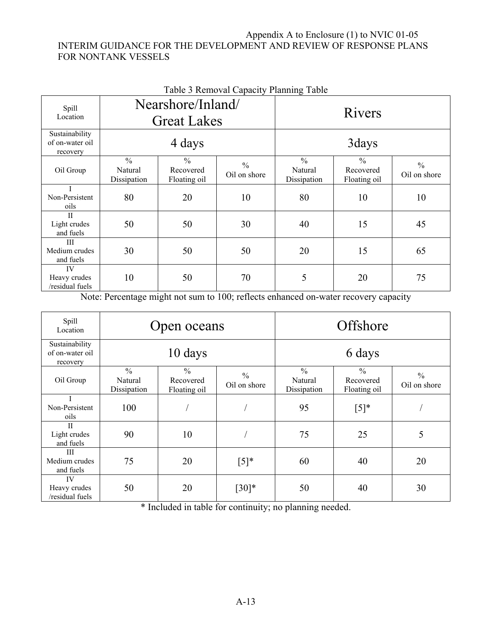|                                               | Table 3 Removal Capacity Planning Table |                                            |                               |                                         |                                            |                               |  |  |  |  |
|-----------------------------------------------|-----------------------------------------|--------------------------------------------|-------------------------------|-----------------------------------------|--------------------------------------------|-------------------------------|--|--|--|--|
| Spill<br>Location                             |                                         | Nearshore/Inland/<br><b>Great Lakes</b>    |                               | <b>Rivers</b>                           |                                            |                               |  |  |  |  |
| Sustainability<br>of on-water oil<br>recovery |                                         | 4 days                                     |                               | 3 days                                  |                                            |                               |  |  |  |  |
| Oil Group                                     | $\frac{0}{0}$<br>Natural<br>Dissipation | $\frac{0}{0}$<br>Recovered<br>Floating oil | $\frac{0}{0}$<br>Oil on shore | $\frac{0}{0}$<br>Natural<br>Dissipation | $\frac{0}{0}$<br>Recovered<br>Floating oil | $\frac{0}{0}$<br>Oil on shore |  |  |  |  |
| T<br>Non-Persistent<br>oils                   | 80                                      | 20                                         | 10                            | 80                                      | 10                                         | 10                            |  |  |  |  |
| H<br>Light crudes<br>and fuels                | 50                                      | 50                                         | 30                            | 40                                      | 15                                         | 45                            |  |  |  |  |
| Ш<br>Medium crudes<br>and fuels               | 30                                      | 50                                         | 50                            | 20                                      | 15                                         | 65                            |  |  |  |  |
| IV<br>Heavy crudes<br>/residual fuels         | 10                                      | 50                                         | 70                            | 5                                       | 20                                         | 75                            |  |  |  |  |

Note: Percentage might not sum to 100; reflects enhanced on-water recovery capacity

| Spill<br>Location                             |                                         | Open oceans                                |                               | Offshore                                |                                            |                               |  |
|-----------------------------------------------|-----------------------------------------|--------------------------------------------|-------------------------------|-----------------------------------------|--------------------------------------------|-------------------------------|--|
| Sustainability<br>of on-water oil<br>recovery |                                         | 10 days                                    |                               | 6 days                                  |                                            |                               |  |
| Oil Group                                     | $\frac{0}{0}$<br>Natural<br>Dissipation | $\frac{0}{0}$<br>Recovered<br>Floating oil | $\frac{0}{0}$<br>Oil on shore | $\frac{0}{0}$<br>Natural<br>Dissipation | $\frac{0}{0}$<br>Recovered<br>Floating oil | $\frac{0}{0}$<br>Oil on shore |  |
| Non-Persistent<br>oils                        | 100                                     |                                            |                               | 95                                      | $\lceil 5 \rceil^*$                        |                               |  |
| $\mathbf{H}$<br>Light crudes<br>and fuels     | 90                                      | 10                                         |                               | 75                                      | 25                                         | 5                             |  |
| Ш<br>Medium crudes<br>and fuels               | 75                                      | 20                                         | $[5]^*$                       | 60                                      | 40                                         | 20                            |  |
| IV<br>Heavy crudes<br>/residual fuels         | 50                                      | 20                                         | $[30]*$                       | 50                                      | 40                                         | 30                            |  |

\* Included in table for continuity; no planning needed.